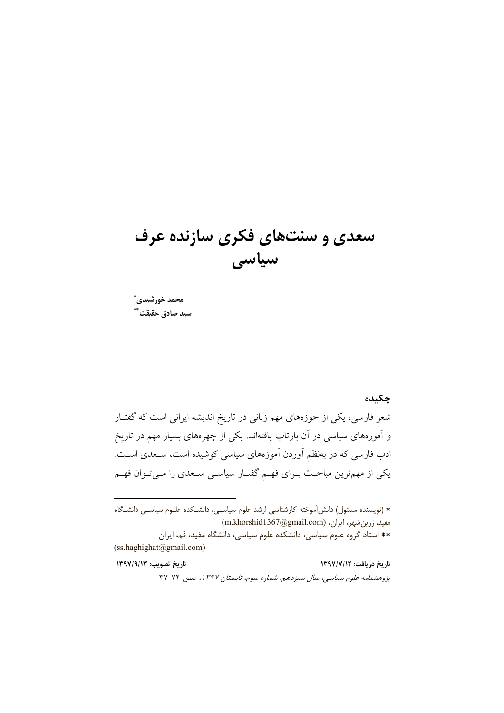# سعدی و سنتهای فکری سازنده عرف سیاسی

محمد خورشیدی ً سيد صادق حقيقت ُ ؕ

#### چکیده

شعر فارسی، یکی از حوزههای مهم زبانی در تاریخ اندیشه ایرانی است که گفتـار و آموزههای سیاسی در آن بازتاب یافتهاند. یکی از چهرههای بسیار مهم در تاریخ ادب فارسی که در بهنظم آوردن آموزههای سیاسی کوشیده است، سـعدی اسـت. یکی از مهمترین مباحـث بــرای فهــم گفتــار سیاســی ســعدی را مــیتــوان فهــم

\* (نویسنده مسئول) دانش آموخته کارشناسی ارشد علوم سیاسـی، دانشـکده علـوم سیاسـی دانشـگاه مفید، زرین شهر، ایران، (m.khorshid1367@gmail.com) \*\* استاد گروه علوم سیاسی، دانشکده علوم سیاسی، دانشگاه مفید، قم، ایران (ss.haghighat@gmail.com)

تاريخ تصويب: ١٣٩٧/٩/١٣ تاریخ دریافت: ١٣٩٧/٧/١٢ پژوهشنامه علوم سیاسی، سال سیزدهم، شماره سوم، تابستان ۱۳۹۷، صص ۷۲-۳۷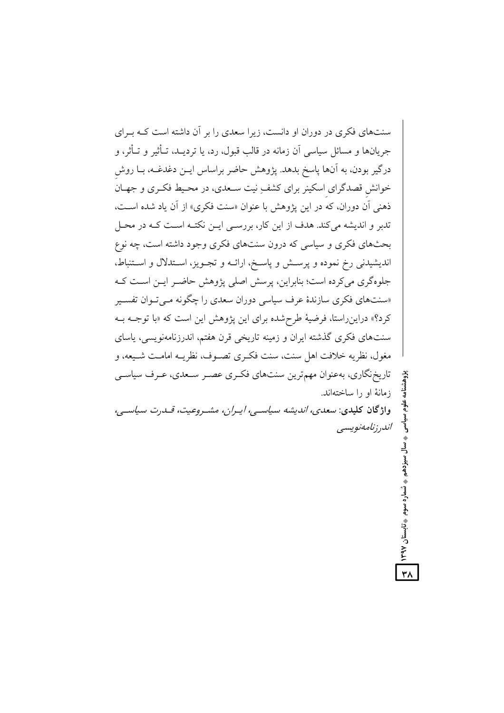سنتهای فکری در دوران او دانست، زیرا سعدی را بر آن داشته است کـه بـرای جريانها و مسائل سياسي آن زمانه در قالب قبول، رد، يا ترديــد، تــأثير و تــأثر، و درگیر بودن، به آنها پاسخ بدهد. پژوهش حاضر براساس ایــن دغدغــه، بــا روش خوانش قصدگرای اسکینر برای کشفِ نیت سـعدی، در محـیط فکـری و جهـان ذهني آن دوران، كه در اين يژوهش با عنوان «سنت فكرى» از آن ياد شده است، تدبر و اندیشه میکند. هدف از این کار، بررسـی ایــن نکتـه اسـت کــه در محـل بحثهای فکری و سیاسی که درون سنتهای فکری وجود داشته است، چه نوع انديشيدني رخ نموده و پرسش و پاسخ، ارائـه و تجـويز، اسـتدلال و اسـتنباط، جلوهگری می کرده است؛ بنابراین، پرسش اصلی پژوهش حاضر ایـن اسـت کـه «سنتهای فکری سازندهٔ عرف سیاسی دوران سعدی را چگونه مـیتـوان تفسـیر کرد؟» دراین راستا، فرضیهٔ طرح شده برای این پژوهش این است که «با توجـه بـه سنتهای فکری گذشته ایران و زمینه تاریخی قرن هفتم، اندرزنامهنویسی، پاسای مغول، نظريه خلافت اهل سنت، سنت فكـرى تصـوف، نظريــه امامــت شـيعه، و تاریخ نگاری، بهعنوان مهمترین سنتهای فکری عصبر سـعدی، عـرف سیاسـی زمانهٔ او را ساختهاند. واژگان کلیدی: سعدی، اندیشه سیاسے، ایران، مشروعیت، قسدرت سیاسے، اندر زنامەنوپسى

٣٨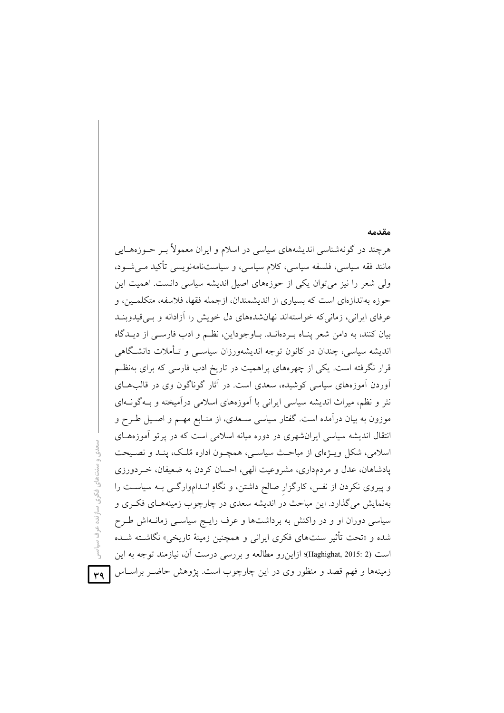# مقدمه هرچند در گونهشناسی اندیشههای سیاسی در اسلام و ایران معمولاً بـر حــوزههــایی مانند فقه سیاسی، فلسفه سیاسی، کلام سیاسی، و سیاستنامهنویسی تأکید مـی شــود، ولی شعر را نیز می توان یکی از حوزههای اصیل اندیشه سیاسی دانست. اهمیت این حوزه بهاندازهای است که بسیاری از اندیشمندان، ازجمله فقها، فلاسفه، متکلمـین، و عرفای ایرانی، زمانی که خواستهاند نهانشدههای دل خویش را آزادانه و بـی قیدوبنـد بیان کنند، به دامن شعر پنـاه بـردهانــد. بـاوجوداین، نظـم و ادب فارسـی از دیــدگاه اندیشه سیاسی، چندان در کانون توجه اندیشهورزان سیاســی و تــأملات دانشــگاهی قرار نگرفته است. یکی از چهرههای پراهمیت در تاریخ ادب فارسی که برای بهنظـم آوردن آموزههای سیاسی کوشیده، سعدی است. در آثار گوناگون وی در قالبهــای نثر و نظم، میراث اندیشه سیاسی ایرانی با آموزههای اسلامی درآمیخته و بـهگونـهای موزون به بیان درآمده است. گفتار سیاسی سـعدی، از منـابع مهــم و اصــیل طــرح و انتقال اندیشه سیاسی ایران شهری در دوره میانه اسلامی است که در پرتو آموزههای اسلامی، شکل ویـژهای از مباحـث سیاسـی، همچـون اداره مُلـک، پنـد و نصـیحت یادشاهان، عدل و مردمداری، مشروعیت الهی، احسان کردن به ضعیفان، خـردورزی و پیروی نکردن از نفس، کارگزار صالح داشتن، و نگاهِ انـداموارگـی بـه سیاسـت را بهنمایش میگذارد. این مباحث در اندیشه سعدی در چارچوب زمینههـای فکـری و سیاسی دوران او و در واکنش به برداشتها و عرف رایج سیاسی زمانـهاش طـرح شده و «تحت تأثیر سنتهای فکری ایرانی و همچنین زمینهٔ تاریخی» نگاشــته شــده است (Haghighat, 2015: 2)؛ ازاین رو مطالعه و بررسی درست آن، نیازمند توجه به این زمینهها و فهم قصد و منظور وی در این چارچوب است. پژوهش حاضـر براســاس <mark>[۳۹</mark>

هدی و سنتهای فکری سازنده عرف سیاسی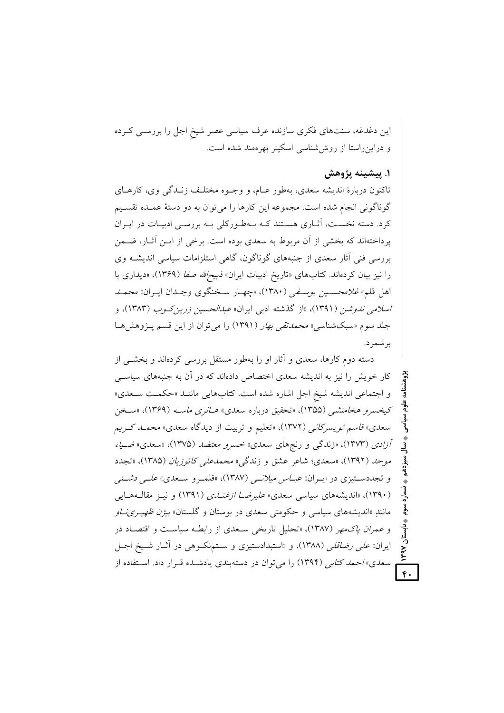این دغدغه، سنتهای فکری سازنده عرف سیاسی عصر شیخ اجل را بررســی کــرده و دراین راستا از روش شناسی اسکینر بهر مهند شده است.

#### ١. پيشينه پژوهش

تاکنون دربارهٔ اندیشه سعدی، بهطور عـام، و وجـوه مختلـف زنـدگی وی، کارهـای گوناگونی انجام شده است. مجموعه این کارها را میتوان به دو دستهٔ عمـده تقسـیم کرد. دسته نخسـت، آثــاری هســتند کــه بــهطــورکلی بــه بررســی ادبیــات در ایــران پرداختهاند که بخشی از آن مربوط به سعدی بوده است. برخی از ایــن آثــار، ضــمن بررسی فنی آثار سعدی از جنبههای گوناگون، گاهی استلزامات سیاسی اندیشــه وی را نیز بیان کردهاند. کتابهای «تاریخ ادبیات ایران» *ذبیح لله صفا (*۱۳۶۹)، «دیداری با اهل قلم» *غلامحسين يوسيفي (*١٣٨٠)، «چهيار سـخنگوي وجـدان ايـران» *محمـد اسلامی ندوشن (۱*۳۹۱)، «از گذشته ادب<sub>ی</sub> ایران» *عبدالحسین زرین کـوب (۱*۳۸۳)، و جلد سوم «سبکشناسی» *محمدتقی بهار (*۱۳۹۱) را میتوان از این قسم پـژوهشهـا بر شمر د.

دسته دوم کارها، سعدی و آثار او را بهطور مستقل بررسی کردهاند و بخشــی از کار خویش را نیز به اندیشه سعدی اختصاص دادهاند که در آن به جنبههای سیاسبی و اجتماعی اندیشه شیخ اجل اشاره شده است. کتابهایی مانند «حکمت سعدی» کیخسرو هخامنشی (۱۳۵۵)، «تحقیق درباره سعدی» ه*ـانری ماسـه* (۱۳۶۹)، «سـخن سعدی» ق*اسم تویسرکانی (*۱۳۷۲)، «تعلیم و تربیت از دیدگاه سعدی» *محمــد کــریم* آزادی (۱۳۷۳)، «زندگی و رنجهای سعدی» خسر*و معتضد* (۱۳۷۵)، «سعدی» ضی*اء* موحد (۱۳۹۲)، «سعدی؛ شاعر عشق و زندگی» *محمدعلی کاتوزیان (*۱۳۸۵)، «تجدد و تجددستیزی در ایـران» *عبـاس میلانــی (*۱۳۸۷)، «قلمـرو سـعدی» *علـی دشـتی* (۱۳۹۰)، «اندیشههای سیاسی سعدی» *علی<sub>د</sub>ضا ازغنیدی* (۱۳۹۱) و نیبز مقالبههایی مانند «اندیشههای سیاسی و حکومتی سعدی در بوستان و گلستان» *بیژن ظهیری ناو* و عمرا*ن ياك مه*ر (١٣٨٧)، «تحليل تاريخي سـعدي از رابطـه سياسـت و اقتصـاد در ایران*» علی رضاقلی (*۱۳۸۸)، و «استبدادستیزی و سـتمنکـوهی در آثـار شـیخ اجـل سعدی»/حم*د کتابی* (۱۳۹۴) را میتوان در دستهبندی یادشـده قـرار داد. اسـتفاده از

 $\overline{\mathfrak{e}}$ .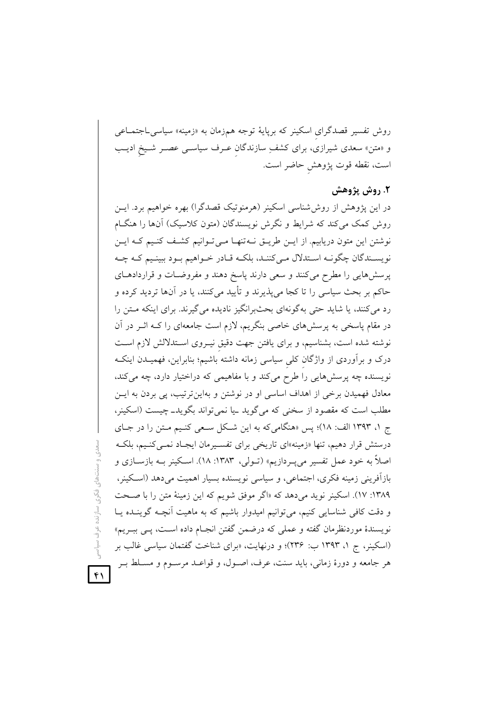روش تفسیر قصدگرای اسکینر که برپایهٔ توجه همزمان به «زمینه» سیاسیLجتمـاعی و «متن» سعدی شیرازی، برای کشفِ سازندگان عـرف سیاسـی عصـر شـیخ ادیـب است، نقطه قوت پژوهش حاضر است.

#### ٢. روش پژوهش

در این پژوهش از روش،شناسی اسکینر (هرمنوتیک قصدگرا) بهره خواهیم برد. ایــن روش کمک میکند که شرایط و نگرش نویسندگان (متون کلاسیک) آنها را هنگام نوشتن این متون دریابیم. از ایـن طریـق نـهتنهـا مـیتوانیم کشـف کنـیم کـه ایـن نویسـندگان چگونــه اسـتدلال مــي کننــد، بلکــه قــادر خــواهيم بــود ببينـيم کــه چــه پرسشهایی را مطرح میکنند و سعی دارند پاسخ دهند و مفروضـات و قراردادهــای حاکم بر بحث سیاسی را تا کجا می پذیرند و تأیید می کنند، یا در آنها تردید کرده و رد می کنند، یا شاید حتی به گونهای بحثبرانگیز نادیده می گیرند. برای اینکه متن را در مقام پاسخی به پرسشهای خاصی بنگریم، لازم است جامعهای را کـه اثــر در آن نوشته شده است، بشناسیم، و برای یافتن جهت دقیق نیـروی اسـتدلالش لازم اسـت درک و برآوردی از واژگان کلی سیاسی زمانه داشته باشیم؛ بنابراین، فهمیــدن اینکــه نویسنده چه پرسشهایی را طرح میکند و با مفاهیمی که دراختیار دارد، چه میکند، معادل فهمیدن برخی از اهداف اساسی او در نوشتن و بهاین ترتیب، پی بردن به ایس مطلب است که مقصود از سخنی که میگوید ـیا نمیتواند بگویدـ چیست (اسکینر، ج ١، ١٣٩٣ الف: ١٨)؛ پس «هنگامي كه به اين شكل سعى كنيم مـتن را در جـاي درستش قرار دهیم، تنها «زمینه»ای تاریخی برای تفسـیرمان ایجـاد نمـیکنـیم، بلکـه اصلاً به خود عمل تفسیر میLبردازیم» (تـولی، ۱۳۸۳: ۱۸). اسـکینر بــه بازســازی و بازآفريني زمينه فكرى، اجتماعي، و سياسي نويسنده بسيار اهميت مي دهد (اسكينر، ۱۳۸۹: ۱۷). اسکینر نوید میدهد که «اگر موفق شویم که این زمینهٔ متن را با صحت و دقت کافی شناسایی کنیم، میتوانیم امیدوار باشیم که به ماهیت آنچـه گوینــده یــا نویسندهٔ موردنظرمان گفته و عملی که درضمن گفتن انجـام داده اسـت، پــی ببــریم» (اسکینر، ج ۱، ۱۳۹۳ ب: ۲۳۶)؛ و درنهایت، «برای شناخت گفتمان سیاسی غالب بر هر جامعه و دورهٔ زمانی، باید سنت، عرف، اصـول، و قواعـد مرسـوم و مسـلط بـر

مدی و سنتهای فکری سازنده عرف سیاس

 $\mathbf{F}$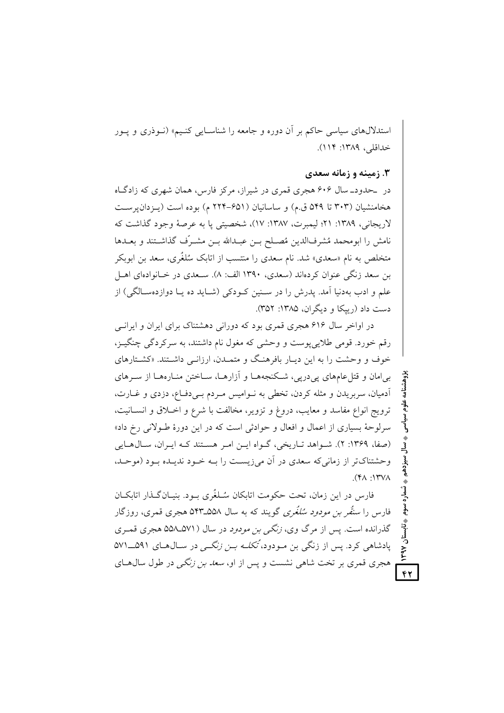استدلالهای سیاسی حاکم بر آن دوره و جامعه را شناسـایی کنـیم» (نـوذری و پـور خداقلي، ١٣٨٩: ١١٢).

#### ۳. زمینه و زمانه سعدی

 $\overline{\mathfrak{g}}$ 

در حدود\_سال ۶۰۶ هجری قمری در شیراز، مرکز فارس، همان شهری که زادگIه هخامنشیان (۳۰۳ تا ۵۴۹ ق.م) و ساسانیان (۶۵۱–۲۲۴ م) بوده است (پـزدان پرسـت لاريجاني، ١٣٨٩: ٢١؛ ليمبرت، ١٣٨٧: ١٧)، شخصيتي يا به عرصهٔ وجود گذاشت كه نامش را ابومحمد مُشرفالدين مُصـلح بـن عبـدالله بـن مشـرّف گذاشـتند و بعــدها متخلص به نام «سعدی» شد. نام سعدی را منتسب از اتابک سُلغٌری، سعد بن ابوبکر بن سعد زنگی عنوان کردهاند (سعدی، ۱۳۹۰ الف: ۸). سـعدی در خـانوادهای اهـل علم و ادب بهدنیا آمد. پدرش را در سـنین کـودکی (شـاید ده یـا دوازدهسـالگی) از دست داد (ربيكا و ديگران، ۱۳۸۵: ۳۵۲).

در اواخر سال ۶۱۶ هجری قمری بود که دورانی دهشتناک برای ایران و ایرانی رقم خورد. قومي طلايي پوست و وحشي كه مغول نام داشتند، به سركردگي چنگيـز، خوف و وحشت را به این دیـار بافرهنگ و متمـدن، ارزانـبی داشـتند. «کشـتارهای بیامان و قتل عامهای پیدرپی، شکنجههـا و آزارهـا، سـاختن منـارههـا از سـرهای آدمیان، سربریدن و مثله کردن، تخطی به نـوامیس مـردم بـیدفـاع، دزدی و غـارت، ترويج انواع مفاسد و معايب، دروغ و تزوير، مخالفت با شرع و اخـلاق و انسـانيت، سرلوحهٔ بسیاری از اعمال و افعال و حوادثی است که در این دورهٔ طـولانی رخ داد» (صفا، ۱۳۶۹: ۲). شواهد تباریخی، گواه این امر هستند کـه ایـران، سـالهـایی وحشتناکتر از زمانی که سعدی در آن می;زیست را بـه خـود ندیـده بـود (موحـد،  $\Lambda Y'Y$  :  $\Lambda Y$ ).

فارس در این زمان، تحت حکومت اتابکان سُـلغُری بـود. بنیـانگـذار اتابکـان فارس را *سنقُر بن مودود سُلغُري* گويند که به سال ۵۵۸ـ۵۴۳ه هجری قمری، روزگار گذرانده است. پس از مرگ وي، *زنگي بن مودود* در سال (۵۷۱ـ۵۵۸ هجري قمـري یادشاهی کرد. پس از زنگی بن مـودود، *تُکلـه بـن زنگـی* در سـالهـای ۵۹۱ـــــــ۱۷۱ هجری قمری بر تخت شاهی نشست و پس از او، *سعد بن زنگی* در طول سال۱صای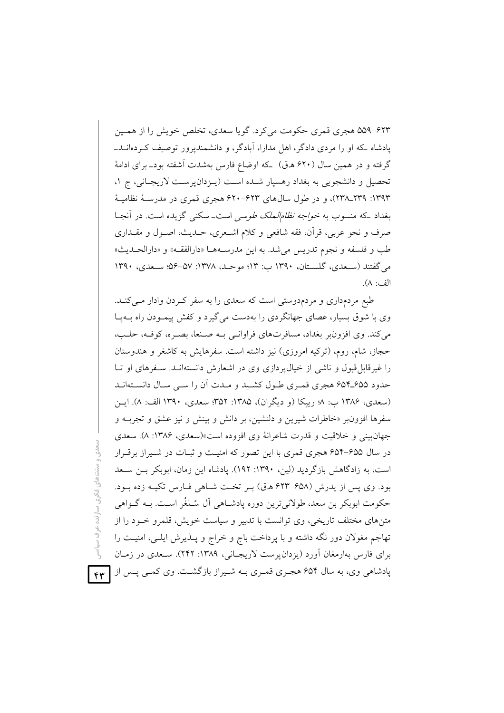۶۲۳-۵۵۹ هجری قمری حکومت می کرد. گویا سعدی، تخلص خویش را از همین یادشاه که او را مردی دادگر، اهل مدارا، آبادگر، و دانشمندیرور توصیف کـردهانــد\_ گرفته و در همین سال (۶۲۰ هـ ق) که اوضاع فارس بهشدت آشفته بودـ برای ادامهٔ تحصیل و دانشجویی به بغداد رهسپار شده است (پـزدان پرسـت لاریجـانی، ج ۱، ۱۳۹۳: ۲۳۹ـ۲۳۸)، و در طول سال۱های ۶۲۳–۶۲۰ هجری قمری در مدرسـهٔ نظامیـهٔ بغداد که منسوب به *خواجه نظام الملک طوسی* است\_سکن<sub>ی</sub> گزیده است. در آنجـا صرف و نحو عربي، قرآن، فقه شافعي و كلام اشـعري، حــديث، اصــول و مقــداري طب و فلسفه و نجوم تدريس مي شد. به اين مدرسـههـا «دارالفقـه» و «دارالحـديث» می گفتند (سـعدی، گلسـتان، ۱۳۹۰ ب: ۱۳)؛ موحـد، ۱۳۷۸: ۵۷–۵۶؛ سـعدی، ۱۳۹۰ الف: ٨).

طبع مردمداری و مردمدوستی است که سعدی را به سفر کردن وادار مــیکنــد. وی با شوق بسیار، عصای جهانگردی را بهدست می گیرد و کفش پیمـودن راه بـهپـا مي كند. وي افزون بر بغداد، مسافرتهاي فراوانسي بـه صـنعا، بصـره، كوفـه، حلـب، حجاز، شام، روم، (تركيه امروزي) نيز داشته است. سفرهايش به كاشغر و هندوستان را غیرقابل قبول و ناشی از خیال پر دازی وی در اشعارش دانستهانـد. سـفرهای او تـا حدود ۶۵۵ـ۶۵۴ هجري قمري طـول كشـيد و مـدت أن را سـي سـال دانسـتهانـد (سعدي، ۱۳۸۶ ب: ۸ رییکا (و دیگران)، ۱۳۸۵: ۳۵۲ سعدي، ۱۳۹۰ الف: ۸). ایسن سفرها افزون<sub>ا</sub>بر «خاطرات شیرین و دلنشین، بر دانش و بینش و نیز عشق و تجربـه و جهان بيني و خلاقيت و قدرت شاعرانهٔ وي افزوده است»(سعدي، ۱۳۸۶: ۸). سعدي در سال ۶۵۵–۶۵۴ هجری قمری با این تصور که امنیت و ثبـات در شـیراز برقـرار است، به زادگاهش بازگردید (لین، ۱۳۹۰: ۱۹۲). یادشاه این زمان، ابوبکر بـن سـعد بود. وي پس از پدرش (۶۵۸–۶۲۳ ه.ق) ب تخت شباهي فيارس تكبه زده سود. حکومت ابوبکر بن سعد، طولانیترین دوره پادشـاهی آل سُـلغُر اسـت. بــه گــواهی متنهای مختلف تاریخی، وی توانست با تدبیر و سیاست خویش، قلمرو خـود را از تهاجم مغولان دور نگه داشته و با پرداخت باج و خراج و پــذيرش ايلــي، امنيــت را برای فارس بهارمغان آورد (یزدان پرست لاریجانی، ۱۳۸۹: ۲۴۲). سـعدی در زمـان یادشاهی وی، به سال ۶۵۴ هجـری قمـری بــه شــیراز بازگشــت. وی کمــی پــس از

 $f(x)$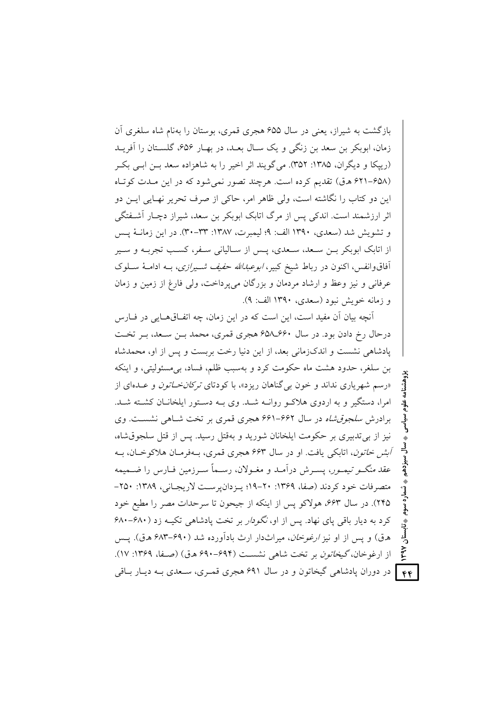بازگشت به شبراز، بعنی در سال ۶۵۵ هجری قمری، بوستان را بهنام شاه سلغری آن زمان، ابوبکر بن سعد بن زنگی و یک سـال بعـد، در بهـار ۶۵۶، گلسـتان را آفریــد (رییکا و دیگران، ۱۳۸۵: ۳۵۲). می گویند اثر اخیر را به شاهزاده سعد بـن ابـی بکـر (۶۵۸–۶۲۱ هـ ق) تقدیم کرده است. هرچند تصور نمی شود که در این مـدت کوتاه این دو کتاب را نگاشته است، ولی ظاهر امر، حاکی از صرف تحریر نهـایی ایــن دو اثر ارزشمند است. اندکی پس از مرگ اتابک ابوبکر بن سعد، شیراز دچـار آشـفتگی و تشويش شد (سعدي، ١٣٩٠ الف: ٩؛ ليمبرت، ١٣٨٧: ٣٣-٣٠). در اين زمانــهٔ يــس از اتابک ابوبکر بــن ســعد، ســعدی، پــس از ســالیانی ســفر، کســب تجربــه و ســیر آفاقوانفس، اکنون در رباط شیخ کبیر، *ابوعبدالله حفیف شـیرازی*، بــه ادامــهٔ ســلوک عرفاني و نيز وعظ و ارشاد مردمان و بزرگان مي يرداخت، ولي فارغ از زمين و زمان و زمانه خويش نبود (سعدي، ١٣٩٠ الف: ٩).

آنچه بیان آن مفید است، این است که در این زمان، چه اتفــاقهــایی در فــارس درحال رخ دادن بود. در سال ۶۶۰ـــــــ98 هجری قمری، محمد بــن ســعد، بــر تخــت یادشاهی نشست و اندکزمانی بعد، از این دنیا رخت بربست و پس از او، محمدشاه بن سلغر، حدود هشت ماه حکومت کرد و بهسبب ظلم، فساد، بی مسئولیتی، و اینکه «رسم شهریاری نداند و خون بی گناهان ریزد»، با کودتای *ترکان خـاتون و ع*ـدهای از امرا، دستگیر و به اردوی هلاک و روانــه شــد. وی بــه دســتور ایلخانــان کشــته شــد. برادرش *سلجوق شاه* در سال ۶۶۲–۶۶۱ هجری قمری بر تخت شاهی نشست. وی نيز از بي تدبيري بر حكومت ايلخانان شوريد و بهقتل رسيد. پس از قتل سلجوقشاه، *آبش خاتون*، اتابکي يافت. او در سال ۶۶۳ هجري قمري، بـهفرمـان هلاکوخـان، بـه عقد *منگــو تيمــور*، پســرش درآمــد و مغــولان، رســماً ســرزمين فــارس را ضــميمه متصرفات خود کردند (صفا، ۱۳۶۹: ۲۰-۱۹؛ پیزدان پرست لاریجیانی، ۱۳۸۹: ۲۵۰-٢۴۵). در سال ۶۶۳، هولاکو پس از اینکه از جیحون تا سرحدات مصر را مطیع خود کرد به دیار باقی پای نهاد. پس از او، *نگودار* بر تخت پادشاهی تکیـه زد (۶۸۰–۶۸۰ هرق) و پس از او نیز *ارغوخان*، میراثدار ارث بادآورده شد (۶۹۰–۶۸۳ هرق). پس از ارغوخان، گیخا*تون* بر تخت شاهی نشست (۶۹۴–۶۹۰ ه.ق) (صفا، ۱۳۶۹: ۱۷). **۴۴ |** در دوران یادشاهی گیخاتون و در سال ۶۹۱ هجری قمـری، سـعدی بـه دیـار بــاقی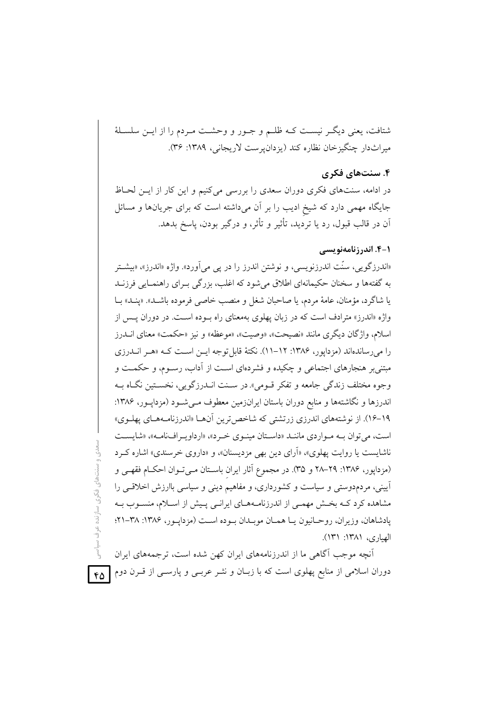شتافت، يعني ديگـر نيسـت كـه ظلـم و جـور و وحشـت مـردم را از ايـن سلسـلهٔ ميراثدار چنگيزخان نظاره كند (يزدان يرست لاريجاني، ١٣٨٩: ٣۶).

### ۴. سنتهای فکری

در ادامه، سنتهای فکری دوران سعدی را بررسی می کنیم و این کار از ایـن لحـاظ جایگاه مهمی دارد که شیخ ادیب را بر آن میداشته است که برای جریانها و مسائل آن در قالب قبول، رد یا تردید، تأثیر و تأثر، و درگیر بودن، پاسخ بدهد.

#### 1-4. اندرزنامەنویسے

«اندرزگو پی، سنّت اندرزنویسی، و نوشتن اندرز را در پی می آورد». واژه «اندرز»، «بیشـتر به گفتهها و سخنان حکیمانهای اطلاق میشود که اغلب، بزرگی بــرای راهنمــایی فرزنــد يا شاگرد، مؤمنان، عامهٔ مردم، يا صاحبان شغل و منصب خاصي فرموده باشــد». «ينــد» بــا واژه «اندرز» مترادف است که در زبان یهلوی بهمعنای راه بوده است. در دوران یس از اسلام، واژگان دیگری مانند «نصیحت»، «وصیت»، «موعظه» و نیز «حکمت» معنای انــدرز را می رساندهاند (مزدایور، ۱۳۸۶: ۱۲–۱۱). نکتهٔ قابل توجه ایس است کـه «هـر انــدرزی مبتنی بر هنجارهای اجتماعی و چکیده و فشردهای است از آداب، رسـوم، و حکمـت و وجوه مختلف زندگي جامعه و تفكر قـومي» در سـنت انــدرزگويي، نخسـتين نگــاه بــه اندرزها و نگاشتهها و منابع دوران باستان ایرانزمین معطوف مـی شـود (مزدایـور، ۱۳۸۶: ۱۹–۱۶). از نوشتههای اندرزی زرتشتی که شاخص ترین آنهـا «اندرزنامـههـای پهلـوی» است، می توان بـه مـواردی ماننـد «داسـتان مینـوی خـرد»، «ارداویـرافنامـه»، «شایسـت ناشايست يا روايت پهلوي»، «آراي دين بهي مزديسنان»، و «داروي خرسندي» اشاره كـرد (مزدایور، ۱۳۸۶: ۲۹–۲۸ و ۳۵). در مجموع آثار ایران باستان مـی تـوان احکـام فقهـی و آیینی، مردمدوستی و سیاست و کشورداری، و مفاهیم دینی و سیاسی باارزش اخلاقبی را مشاهده کرد کـه بخـش مهمـی از اندرزنامـههـای ایرانـی پـیش از اسـلام، منسـوب بـه يادشاهان، وزيران، روحـانيون يـا همـان موبـدان بـوده اسـت (مزدايـور، ١٣٨۶: ٣٨-٢١؟ الهباري، ١٣٨١: ١٣١).

آنچه موجب آگاهی ما از اندرزنامههای ایران کهن شده است، ترجمههای ایران دوران اسلامی از منابع پهلوی است که با زبـان و نشـر عربــی و پارســی از قــرن دوم

سنتھای فکری سازندہ عرف

 $60$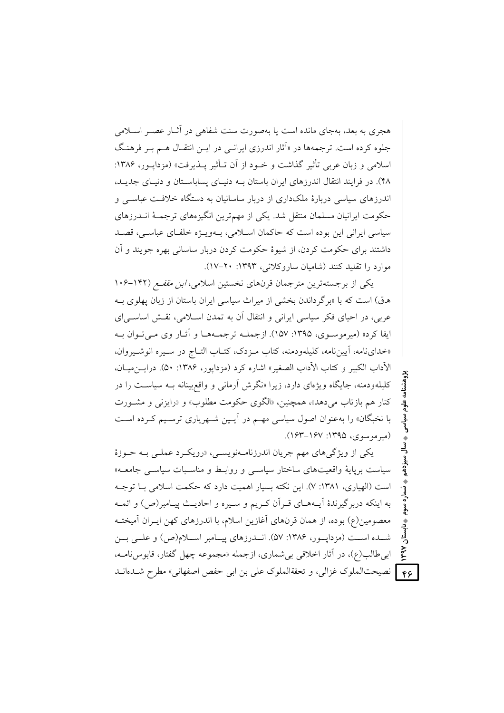هجری به بعد، بهجای مانده است با بهصورت سنت شفاهی در آثیار عصبر اسپلامی جلوه کرده است. ترجمهها در «آثار اندرزی ایرانسی در ایــن انتقــال هــم بــر فرهنـگ اسلامی و زبان عربی تأثیر گذاشت و خــود از آن تــأثیر پــذیرفت» (مزدایــور، ۱۳۸۶: ۴۸). در فرایند انتقال اندرزهای ایران پاستان بـه دنسای پسایاسـتان و دنسای جدیـد، اندرزهای سیاسی دربارهٔ ملکداری از دربار ساسانیان به دستگاه خلافت عباسبی و حکومت ایرانیان مسلمان منتقل شد. یکی از مهمترین انگیزههای ترجمـهٔ انــدرزهای سیاسی ایرانی این بوده است که حاکمان اسلامی، بـهویـژه خلفـای عباسـی، قصـد داشتند برای حکومت کردن، از شیوهٔ حکومت کردن دربار ساسانی بهره جویند و آن موارد را تقلید کنند (شامیان ساروکلائی، ۱۳۹۳: ۲۰-۱۷).

یکی از برجستهترین مترجمان قرنهای نخستین اسلامی، *ابن مقفـع (*۱۴۲–۱۰۶ هرق) است که با «برگرداندن بخشی از میراث سیاسی ایران باستان از زبان یهلوی به عربی، در احیای فکر سیاسی ایرانی و انتقال آن به تمدن اسـلامی، نقـش اساسـی|ی ايفا كرد» (ميرموسـوي، ١٣٩۵: ١۵٧). ازجملــه ترجمــههــا و آثــار وي مــي تــوان بــه «خدای نامه، آیین نامه، کلیلهودمنه، کتاب مـزدک، کتـاب التـاج در سـیره انوشـیروان، الآداب الكبير و كتاب الآداب الصغير» اشاره كرد (مزدايور، ۱۳۸۶: ۵۰). درايــن ميــان، کلیلهودمنه، جایگاه ویژهای دارد، زیرا «نگرش آرمانی و واقع بینانه بـه سیاسـت را در کنار هم بازتاب مي دهد»، همچنين، «الگوي حکومت مطلوب» و «رايزني و مشـورت با نخبگان» را بهعنوان اصول سیاسی مهـم در آیـین شـهریاری ترسـیم کـرده اسـت  $(154 - 154)$  (میر موسوی) ۱۳۹۵: ۱۶۷–۱۶۳).

یکی از ویژگیهای مهم جریان اندرزنامهنویسی، «رویکرد عملی بـه حـوزهٔ سیاست برپایهٔ واقعیتهای ساختار سیاس<sub>تی</sub> و روابط و مناسبات سیاس<sub>تی</sub> جامعه» است (الهباری، ۱۳۸۱: ۷). این نکته بسیار اهمیت دارد که حکمت اسلامی با توجیه به اینکه دربرگیرندهٔ آیـههـای قـران کـریم و سـیره و احادیـث پیـامبر(ص) و ائمـه معصومین(ع) بوده، از همان قرنهای آغازین اسلام، با اندرزهای کهن ایـران آمیختـه شــده اســت (مزدايــور، ۱۳۸۶: ۵۷). انــدرزهاي پيــامبر اســلام(ص) و علــي بــن ابي طالب(ع)، در آثار اخلاقي بي شماري، ازجمله «مجموعه چهل گفتار، قابوس نامــه، **ع، [** نصيحتالملوك غزالي، و تحفةالملوك على بن ابي حفص اصفهاني» مطرح شــدهانــد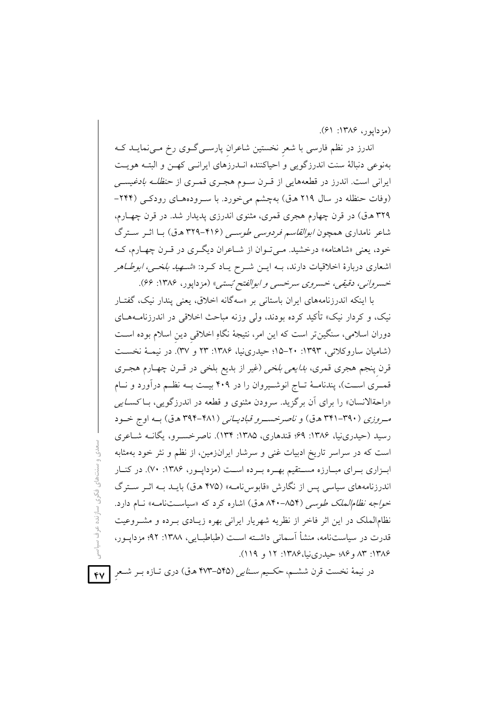(مزدايور، ۱۳۸۶: ۶۱).

اندرز در نظم فارسی با شعر نخستین شاعران پارسـیگـوی رخ مـیiمایـد کـه بهنوعی دنبالهٔ سنت اندرزگویی و احیاکننده انـدرزهای ایرانـی کهـن و البتـه هویـت ایرانی است. اندرز در قطعههایی از قـرن سـوم هجـری قمـری از ح*نظلـه بادغیسـی* (وفات حنظله در سال ۲۱۹ هـ ق) بهچشم می خورد. با سـرودههـای رودکـی (۲۴۴-۳۲۹ هـق) در قرن چهارم هجری قمری، مثنوی اندرزی پدیدار شد. در قرن چهـارم، شاعر نامداری همچون *ابوالقاسم فردوسی طوسی* (۴۱۶–۳۲۹ ه.ق) بـا اثـر سـترگ خود، یعنی «شاهنامه» درخشید. مـیتوان از شـاعران دیگـری در قـرن چهـارم، کـه اشعاری دربارهٔ اخلاقیات دارند، بـه ایــن شــرح یــاد کــرد: «*شــهید بلخــی، ابوطــاهر* خسرواني، دقيقي، خسروي سرخسي و ابوالفتح بُستبي» (مزداپور، ۱۳۸۶: ۶۶).

با اینکه اندرزنامههای ایران باستانی بر «سهگانه اخلاق، یعنی پندار نیک، گفتـار نیک، و کردار نیک» تأکید کرده بودند، ولی وزنه مباحث اخلاقی در اندرزنامــههــای دوران اسلامی، سنگینتر است که این امر، نتیجهٔ نگاهِ اخلاقی دین اسلام بوده اسـت (شامیان ساروکلائی، ۱۳۹۳: ۲۰-۱۵؛ حیدرینیا، ۱۳۸۶: ۲۳ و ۳۷). در نیمـهٔ نخسـت قرن پنجم هجری قمری، *بدایعی بلخی* (غیر از بدیع بلخی در قـرن چهـارم هجـری قمـري اسـت)، پندنامــهٔ تــاج انوشــيروان را در ۴۰۹ بيــت بــه نظــم درآورد و نــام «راحةالانسان» را برای آن برگزید. سرودن مثنوی و قطعه در اندرزگویی، بـاکسـ*ـایی* مروزی (۳۹۰-۳۴۱ ه.ق) و *ناصرخسرو قبادیبانی* (۴۸۱-۳۹۴ ه.ق) بـه اوج خـود رسید (حیدری:یا، ۱۳۸۶: ۶۹؛ قندهاری، ۱۳۸۵: ۱۳۴). ناصرخسبرو، یگانــه شــاعری است که در سراسر تاریخ ادبیات غنی و سرشار ایرانزمین، از نظم و نثر خود بهمثابه ابزاری بـرای مبـارزه مسـتقیم بهـره بـرده اسـت (مزداپـور، ۱۳۸۶: ۷۰). در کنـار اندرزنامههای سیاسی پس از نگارش «قابوس نامـه» (۴۷۵ هـق) بایــد بــه اثــر ســترگ خو*اجه نظام الملک طوسی (*۸۵۴–۸۴۰ ه.ق) اشاره کرد که «سیاستنامـه» نـام دارد. نظام الملک در این اثر فاخر از نظریه شهریار ایرانی بهره زیـادی بـرده و مشـروعیت قدرت در سیاستنامه، منشأ آسمانی داشته است (طباطبایی، ۱۳۸۸: ۹۲؛ مزدایــور، ۱۳۸۶: ۸۳ و ۸۶؛ حیدریiیا، ۱۳۸۶: ۱۲ و ۱۱۹).

در نیمهٔ نخست قرن ششــم، *حکــیم ســنایی (*۵۴۵–۴۷۳ هـق) دری تــازه بــر شــعرِ <mark>ـ ۴۷</mark>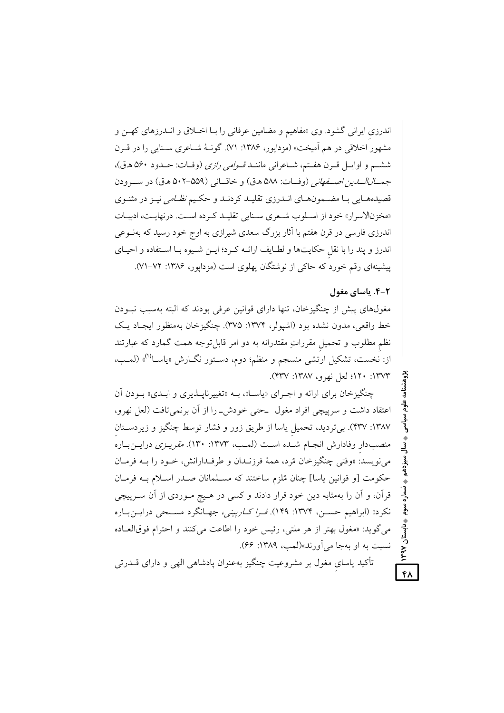اندرزی ایرانی گشود. وی «مفاهیم و مضامین عرفانی را بـا اخــلاق و انــدرزهای کهــن و مشهور اخلاقی در هم آمیخت» (مزدایور، ۱۳۸۶: ۷۱). گونـهٔ شـاعری سـنایی را در قـرن ششم و اوايسل قبرن هفتم، شباعراني ماننــد قبو*امي رازي* (وفيات: حــدود ۵۶۰ هـق)، جي*مـــالـالـــايـن اصــفـعاني* (وفــات: ۵۸۸ هـق) و خاقـــاني (۵۵۹–۵۰۲ هـق) در ســـرودن قصیدههـایی بـا مضــمونهـای انــدرزی تقلیــد کردنــد و حکــیم *نظــامی* نیــز در مثنــوی «مخزنالاسرار» خود از اسلوب شعرى سنايي تقليد كرده است. درنهايت، ادبيات اندرزی فارسی در قرن هفتم با آثار بزرگ سعدی شیرازی به اوج خود رسید که بهنــوعی اندرز و پند را با نقل حکایتها و لطـایف ارائـه کـرد؛ ایـن شـیوه بـا اسـتفاده و احیـای پیشینهای رقم خورد که حاکی از نوشتگان پهلوی است (مزداپور، ۱۳۸۶: ۷۲–۷۱).

#### ۴-۴. باسای مغول

۴۸

مغولهای پیش از چنگیزخان، تنها دارای قوانین عرفی بودند که البته بهسبب نبودن خط واقعي، مدون نشده بود (اشيولر، ١٣٧۴: ٣٧۵). چنگيزخان بهمنظور ايجـاد يـک نظم مطلوب و تحمیل مقرراتِ مقتدرانه به دو امر قابلتوجه همت گمارد که عبارتند از: نخست، تشکیل ارتشی منسجم و منظم؛ دوم، دسـتور نگــارش «یاســا<sup>(۱)</sup>» (لمــب، ١٣٧٣: ١٢٠؛ لعل نهرو، ١٣٨٧: ٣٣٧).

چنگیزخان برای ارائه و اجـرای «پاسـا»، بـه «تغییرناپــذیری و ابــدی» بــودن آن اعتقاد داشت و سرپیچی افراد مغول حتی خودش\_را از آن برنمی تافت (لعل نهرو، ۱۳۸۷: ۴۳۷). برتردید، تحمیل یاسا از طریق زور و فشار توسط چنگیز و زیردستان منصب دار وفادارش انجـام شــده اســت (لمــب، ۱۳۷۳: ۱۳۰). *مقریــزی* درایــنبــاره می نویسد: «وقتی چنگیزخان مُرد، همهٔ فرزنـدان و طرفـدارانش، خـود را بــه فرمـان حکومت [و قوانین یاسا] چنان مُلزم ساختند که مسـلمانان صـدر اسـلام بــه فرمـان قرآن، و آن را بهمثابه دین خود قرار دادند و کسی در هـیچ مـوردی از آن سـرپیچی نكرد» (ابراهيم حسـن، ١٣٧۴: ١۴٩). *فـرا كـارپيني،* جهـانگرد مسـيحي درايــنبـاره می گوید: «مغول بهتر از هر ملتی، رئیس خود را اطاعت می کنند و احترام فوقالعـاده نسبت به او بهجا می آورند»(لمب، ۱۳۸۹: ۶۶).

تأکید یاسای مغول بر مشروعیت چنگیز بهعنوان پادشاهی الهی و دارای قــدرتی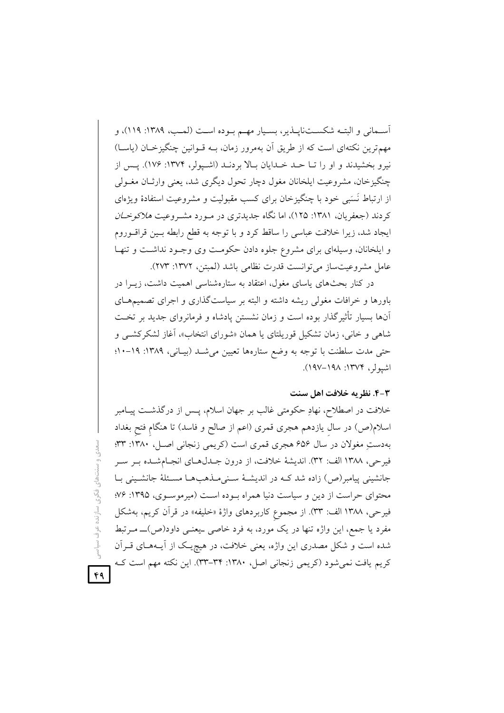اّسـماني و البتــه شكســتناپــذير، بســيار مهــم بــوده اســت (لمــب، ١٣٨٩: ١١٩)، و مهمترین نکتهای است که از طریق آن بهمرور زمان، بـه قــوانین چنگیزخــان (پاســا) نیرو بخشیدند و او را تــا حــد خــدایان بــالا بردنــد (اشــیولر، ۱۳۷۴: ۱۷۶). یــس از چنگیزخان، مشروعیت ایلخانان مغول دچار تحول دیگری شد، یعنی وارثـان مغــولی از ارتباط نَسَبی خود با چنگیزخان برای کسب مقبولیت و مشروعیت استفادهٔ ویژهای کردند (جعفریان، ۱۳۸۱: ۱۲۵)، اما نگاه جدیدتری در مـورد مشـروعیت *هلاکوخـان* ایجاد شد، زیرا خلافت عباسی را ساقط کرد و با توجه به قطع رابطه بـین قراقــوروم و ایلخانان، وسیلهای برای مشروع جلوه دادن حکومت وی وجـود نداشـت و تنهـا عامل مشروعيت ساز مي توانست قدرت نظامي باشد (لمبتن، ١٣٧٢: ٢٧٣).

در کنار بحثهای پاسای مغول، اعتقاد به ستارهشناسی اهمیت داشت، زیــرا در باورها و خرافات مغولی ریشه داشته و البته بر سیاستگذاری و اجرای تصمیمهــای آنها بسیار تأثیرگذار بوده است و زمان نشستن یادشاه و فرمانروای جدید بر تخـت شاهی و خانی، زمان تشکیل قوریلتای یا همان «شورای انتخاب»، آغاز لشکرکشبی و حتی مدت سلطنت با توجه به وضع ستارهها تعیین می شد (بیانی، ۱۳۸۹: ۱۹-۱۰! اشيولر، ١٣٧٤: ١٩٨–١٩٧).

#### ۴-۳. نظریه خلافت اهل سنت

خلافت در اصطلاح، نهادِ حکومتی غالب بر جهان اسلام، پــس از درگذشــت پيــامبر اسلام(ص) در سال یازدهم هجری قمری (اعم از صالح و فاسد) تا هنگام فتح بغداد بهدستِ مغولان در سال ۶۵۶ هجری قمری است (کریمی زنجانی اصـل، ۱۳۸۰: ۳۳: فيرحي، ١٣٨٨ الف: ٣٢). انديشهٔ خلافت، از درون جـدلهـاي انجـامشـده بـر سـر جانشینی پیامبر(ص) زاده شد کـه در اندیشـهٔ سـنیمـذهبهـا مسـئلهٔ جانشـینی بـا محتوای حراست از دین و سیاست دنیا همراه بوده است (میرموسوی، ۱۳۹۵: ۷۶؛ فيرحى، ١٣٨٨ الف: ٣٣). از مجموع كاربردهاى واژة «خليفه» در قرآن كريم، بهشكل مفرد یا جمع، این واژه تنها در یک مورد، به فرد خاصی ـیعنـی داود(ص)ـــ مـرتبط شده است و شکل مصدری این واژه، یعنی خلافت، در هیچیک از آیـههـای قـراَن کریم یافت نمیشود (کریمی زنجانی اصل، ۱۳۸۰: ۳۴–۳۳). این نکته مهم است ک

.ي و سنتھاي فکري سازنده عرف سياسر

۴۹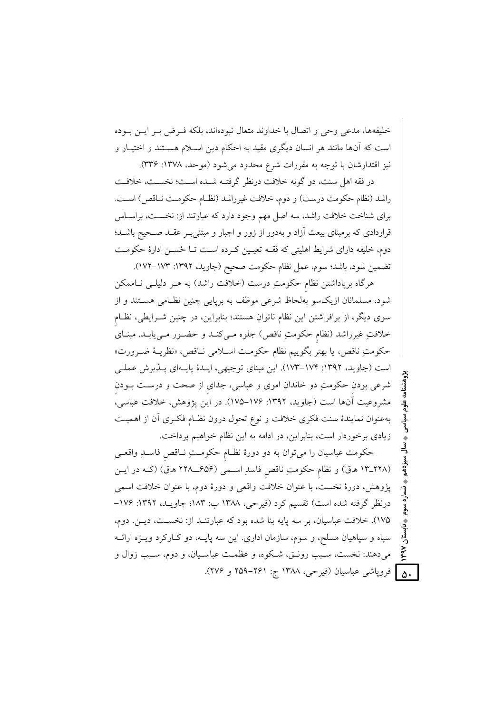خليفهها، مدعى وحي و اتصال با خداوند متعال نبودهاند، بلكه فيرض بير ايس ببوده است که آنها مانند هر انسان دیگری مقید به احکام دین اسـلام هســتند و اختیــار و نیز اقتدارشان با توجه به مقررات شرع محدود میشود (موحد، ۱۳۷۸: ۳۳۶).

در فقه اهل سنت، دو گونه خلافت درنظر گرفتـه شـده اسـت؛ نخسـت، خلافـت راشد (نظام حکومت درست) و دوم، خلافت غیرراشد (نظـام حکومـت نـاقص) اسـت. برای شناخت خلافت راشد، سه اصل مهم وجود دارد که عبارتند از: نخسـت، براسـاس قراردادی که برمبنای بیعت آزاد و بهدور از زور و اجبار و مبتنی بـر عقـد صـحیح باشـد؛ دوم، خلیفه دارای شرایط اهلیتی که فقـه تعیـین کـرده اسـت تـا حُسـن ادارهٔ حکومـت تضمين شود، باشد؛ سوم، عمل نظام حكومت صحيح (جاويد، ١٣٩٢: ١٧٣–١٧٢).

هرگاه برپاداشتن نظام حکومتِ درست (خلافت راشد) به هــر دلیلــی نــاممکن شود، مسلمانان ازیکسو بهلحاظ شرعی موظف به برپایی چنین نظـامی هســتند و از سوی دیگر، از برافراشتن این نظام ناتوان هستند؛ بنابراین، در چنین شـرایطی، نظـام خلافتِ غیرراشد (نظام حکومتِ ناقص) جلوه مـیکنـد و حضـور مـییابـد. مبنـای حكومتِ ناقص، يا بهتر بگوييم نظام حكومت اسـلامي نــاقص، «نظريــهٔ ضــرورت» است (جاوید، ۱۳۹۲: ۱۷۴–۱۷۳). این مبنای توجیهی، ایـدهٔ پایـهای پــذیرش عملـی شرعی بودن حکومتِ دو خاندان اموی و عباسی، جدای از صحت و درست بـودن مشروعيت آنها است (جاويد، ١٣٩٢: ١٧۶–١٧٥). در اين يژوهش، خلافت عباسي، بهعنوان نمایندهٔ سنت فکری خلافت و نوع تحول درون نظـام فکـری آن از اهمیـت زیادی برخوردار است، بنابراین، در ادامه به این نظام خواهیم پرداخت.

حکومت عباسیان را می توان به دو دورهٔ نظـام حکومـتِ نــاقص فاسـلـِ واقعـی (١٣ـ٢٢٨ هـق) و نظام حكومتِ ناقص فاسدِ اسـمى (۶۵۶ــ٢٢٨ هـق) (كـه در ايـن پژوهش، دورهٔ نخست، با عنوان خلافت واقعی و دورهٔ دوم، با عنوان خلافت اسمی درنظر گرفته شده است) تقسیم کرد (فیرحی، ۱۳۸۸ ب: ۱۸۳؛ جاویـد، ۱۳۹۲: ۱۷۶-۱۷۵). خلافت عباسیان، بر سه پایه بنا شده بود که عبارتنـد از: نخسـت، دیـن. دوم، سپاه و سپاهیان مسلح، و سوم، سازمان اداری. این سه پایــه، دو کــارکرد ویــژه ارائــه میدهند: نخست، سـبب رونـق، شـكوه، و عظمـت عباسـيان، و دوم، سـبب زوال و | فروياشي عباسيان (فيرحى، ١٣٨٨ ج: ٢٤١-٢٥٩ و ٢٧۶).  $\Delta \cdot$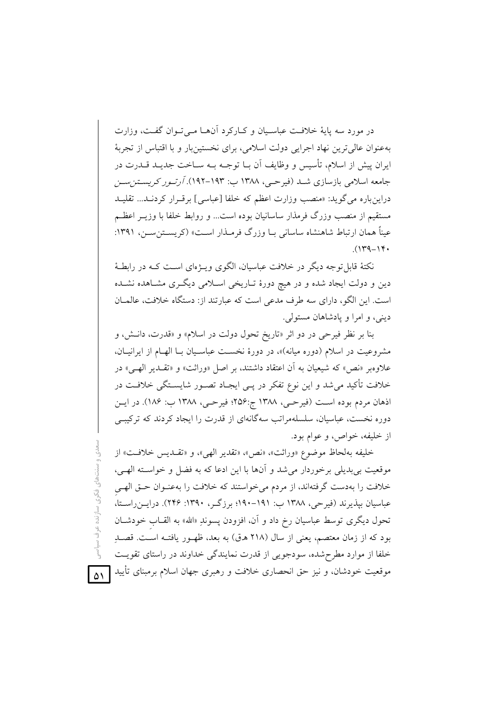در مورد سه پایهٔ خلافت عباسـیان و کـارکرد آنهــا مــی تــوان گفــت، وزارت بهعنوان عالي ترين نهاد اجرايي دولت اسلامي، براي نخستينبار و با اقتباس از تجربهٔ ایران پیش از اسلام، تأسیس و وظایف اَن بــا توجــه بــه ســاخت جدیــد قــدرت در جامعه اسلامی بازسازی شـد (فیرحـی، ۱۳۸۸ ب: ۱۹۳–۱۹۲). *آرتـور کریسـتزبسـز* دراین باره می گوید: «منصب وزارت اعظم که خلفا [عباسی] برقـرار کردنـد... تقلیـد مستقیم از منصب وزرگ فرمذار ساسانیان بوده است… و روابط خلفا با وزیـر اعظـم عیناً همان ارتباط شاهنشاه ساسانی بـا وزرگ فرمــذار اســت» (کریســتن ســن، ۱۳۹۱:  $(149 - 14)$ 

نکتهٔ قابل توجه دیگر در خلافت عباسیان، الگوی ویــژهای اســت کــه در رابطــهٔ دین و دولت ایجاد شده و در هیچ دورهٔ تـاریخی اسـلامی دیگـری مشـاهده نشـده است. این الگو، دارای سه طرف مدعی است که عبارتند از: دستگاه خلافت، عالمان ديني، و امرا و يادشاهان مستولى.

بنا بر نظر فيرحى در دو اثر «تاريخ تحول دولت در اسلام» و «قدرت، دانش، و مشروعیت در اسلام (دوره میانه)»، در دورهٔ نخست عباسـیان بـا الهـام از ایرانیـان، علاوه و «نص» که شیعیان به آن اعتقاد داشتند، بر اصل «وراثت» و «تقبدیر الهبی» در خلافت تأکید می شد و این نوع تفکر در یــی ایجـاد تصــور شایســتگی خلافــت در اذهان مردم بوده است (فيرحي، ١٣٨٨ ج:٢۵۶؛ فيرحي، ١٣٨٨ ب: ١٨۶). در ايس دوره نخست، عباسیان، سلسلهمراتب سهگانهای از قدرت را ایجاد کردند که ترکیبے از خليفه، خواص، و عوام بود.

خليفه بهلحاظ موضوع «وراثت»، «نص»، «تقدير الهي»، و «تقـديس خلافـت» از موقعیت بی بدیلی برخوردار می شد و آنها با این ادعا که به فضل و خواســته الهـی، خلافت را بهدست گرفتهاند، از مردم می خواستند که خلافت را بهعنـوان حـق الهـی عباسیان بپذیرند (فیرحی، ۱۳۸۸ ب: ۱۹۱–۱۹۰؛ برزگـر، ۱۳۹۰: ۲۴۶). درایــن(سـتا، تحول دیگری توسط عباسیان رخ داد و آن، افزودن پسوندِ «الله» به القــاب خودشــان بود که از زمان معتصم، یعنی از سال (۲۱۸ ه.ق) به بعد، ظهـور یافتـه اسـت. قصـدِ خلفا از موارد مطرحشده، سودجویی از قدرت نمایندگی خداوند در راستای تقویت موقعیت خودشان، و نیز حق انحصاری خلافت و رهبری جهان اسلام برمبنای تأیید

مدی و سنتهای فکری سازنده عرف سیاسی

 $\Delta$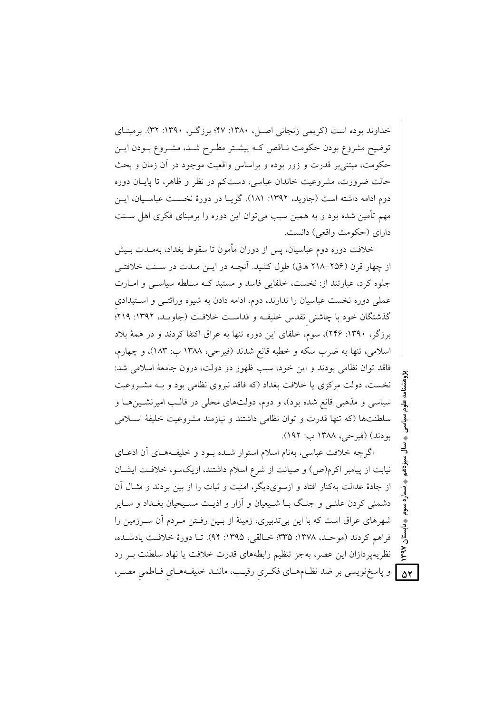خداوند بوده است (کریمی زنجانی اصل، ۱۳۸۰: ۴۷؛ برزگـر، ۱۳۹۰: ۳۲). برمبنـای توضیح مشروع بودن حکومت نـاقص کـه پیشـتر مطـرح شـد، مشـروع بـودن ایـن حکومت، مبتنی بر قدرت و زور بوده و براساس واقعیت موجود در آن زمان و بحث حالت ضرورت، مشروعیت خاندان عباسی، دست کم در نظر و ظاهر، تا پایـان دوره دوم ادامه داشته است (جاوید، ۱۳۹۲: ۱۸۱). گویـا در دورهٔ نخسـت عباسـیان، ایــن مهم تأمین شده بود و به همین سبب میتوان این دوره را برمبنای فکری اهل ســنت دارای (حکومت واقعی) دانست.

خلافت دوره دوم عباسیان، پس از دوران مأمون تا سقوط بغداد، بهمــدت بــیش از چهار قرن (۲۵۶–۲۱۸ ه.ق) طول کشید. آنچـه در ایــن مـدت در سـنت خلافتــی جلوه کرد، عبارتند از: نخست، خلفایی فاسد و مستبد کـه سـلطه سیاســی و امــارت عملی دوره نخست عباسیان را ندارند، دوم، ادامه دادن به شیوه وراثتـبی و اسـتبدادی گذشتگان خود با چاشنی تقدس خلیفه و قداست خلافت (جاویـد، ۱۳۹۲: ۲۱۹؛ برزگر، ۱۳۹۰: ۲۴۶)، سوم، خلفای این دوره تنها به عراق اکتفا کردند و در همهٔ بلاد اسلامي، تنها به ضرب سكه و خطبه قانع شدند (فيرحى، ١٣٨٨ ب: ١٨٣)، و چهارم، فاقد توان نظامی بودند و این خود، سبب ظهور دو دولت، درون جامعهٔ اسلامی شد: نخست، دولت مرکزی یا خلافت بغداد (که فاقد نیروی نظامی بود و بـه مشـروعیت سیاسی و مذهبی قانع شده بود)، و دوم، دولتهای محلی در قالـب امیرنشـینهـا و سلطنتها (كه تنها قدرت و توان نظامى داشتند و نيازمند مشروعيت خليفة اسلامى بو دند) (فيرحي، ١٣٨٨ ب: ١٩٢).

اگرچه خلافت عباسی، بهنام اسلام استوار شـده بـود و خلیفـههـای آن ادعـای نیابت از پیامبر اکرم(ص) و صیانت از شرع اسلام داشتند، ازیکسو، خلافت ایشـان از جادهٔ عدالت بهکنار افتاد و ازسویدیگر، امنیت و ثبات را از بین بردند و مثــال آن دشمنی کردن علنبی و جنگ بــا شــیعیان و أزار و اذیــت مســیحیان بغــداد و ســایر شهرهای عراق است که با این بیتدبیری، زمینهٔ از بین رفتن مـردم آن سـرزمین را فراهم كردند (موحـد، ١٣٧٨: ٣٣٥؛ خـالقي، ١٣٩٥: ٩۴). تــا دورة خلافـت يادشـده، نظریهپردازان این عصر، بهجز تنظیم رابطههای قدرت خلافت یا نهاد سلطنت بـر رد 8] و پاسخنویسی بر ضد نظـامهـای فکـری رقیـب، ماننـد خلیفـههـای فـاطمی مصـر،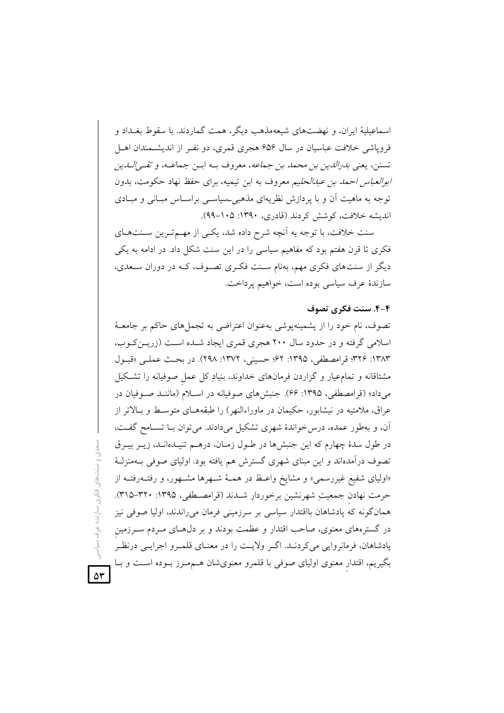اسماعیلیهٔ ایران، و نهضتهای شیعهمذهب دیگر، همت گماردند. با سقوط بغیداد و فرویاشی خلافت عباسیان در سال ۶۵۶ هجری قمری، دو نفـر از اندیشـمندان اهـل تسنن، يعني *بدرالدين بن محمد بن جماعه*، معروف بـه ابـن جماعـه، و *تقـى الــدين ابوالعباس احمد بن عبدالحلي*م معروف به ابن تيميه، براي حفظ نهاد حكومت، بدون توجه به ماهیت اّن و با پردازش نظریهای مذهبی حساســی براســاس مبــانی و مبــادی اندیشه خلافت، کوشش کردند (قادری، ۱۳۹۰: ۲۰۵–۹۹).

سنت خلافت، با توجه به آنچه شرح داده شد، یکسی از مهــمتـرین ســنتهــای فکری تا قرن هفتم بود که مفاهیم سیاسی را در این سنت شکل داد. در ادامه به یکی دیگر از سنتهای فکری مهم، بهنام سـنت فکـری تصـوف، کـه در دوران سـعدی، سازندهٔ عرف سیاسی بوده است، خواهیم پرداخت.

#### ۴-۴. سنت فکری تصوف

تصوف، نام خود را از پشمینهپوشی بهعنوان اعتراضی به تجملهای حاکم بر جامعـهٔ اسلامی گرفته و در حدود سال ۲۰۰ هجری قمری ایجاد شـده اسـت (زریــن کــوب، ١٣٨٣: ٣٢۶؛ قرامصطفى، ١٣٩٥: ۶٢؛ حسيني، ١٣٧٢: ٢٩٨). در بحث عملـي «قبـول مشتاقانه و تمامعیار و گزاردن فرمانهای خداوند، بنیادِ کل عمل صوفیانه را تشکیل میداد» (قرامصطفی، ۱۳۹۵: ۶۶). جنبشهای صوفیانه در اسلام (ماننـد صـوفیان در عراق، ملامتیه در نیشابور، حکیمان در ماوراءالنهر) را طبقههـای متوسـط و بـالاتر از آن، و بهطور عمده، درس خواندهٔ شهری تشکیل میدادند. می توان بـا تسـامح گفـت، در طول سدهٔ چهارم که این جنبشها در طـول زمـان، درهـم تنیـدهانـد، زیـر بیـرق تصوف درآمدهاند و این مبنای شهری گسترش هم یافته بود. اولیای صوفی بـهمنزلـهٔ «اولیای شفیع غیررسمی» و مشایخ واعظ در همـهٔ شـهرها مشـهور، و رفتـهرفتـه از حرمت نهادن جمعيتِ شهرنشين برخوردار شـدند (قرامصـطفى، ١٣٩٥: ٣٢٠-٣١٥). همانگونه که یادشاهان بااقتدار سیاسی بر سرزمینی فرمان می راندند، اولیا صوفی نیز در گسترههای معنوی، صاحب اقتدار و عظمت بودند و بر دل۵حای مـردم ســرزمین پادشاهان، فرمانروایی می کردنـد. اگـر ولایـت را در معنـای قلمـرو اجرایـی درنظـر بگیریم، اقتدار معنوی اولیای صوفی با قلمرو معنویشان هــممــرز بــوده اســت و بــا

ستهای فکری سازنده عرف

 $\Delta \mathbf{r}$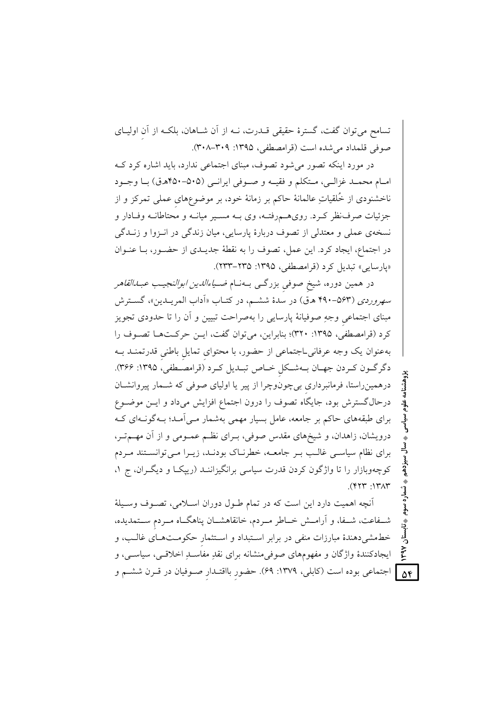تسامح می توان گفت، گسترهٔ حقیقی قــدرت، نــه از آن شــاهان، بلکــه از آن اولیــای صوفي قلمداد مي شده است (قرامصطفى، ١٣٩۵: ٣٠٨-٣٠٨).

در مورد اینکه تصور میشود تصوف، مبنای اجتماعی ندارد، باید اشاره کرد ک امبام محميد غزالي، متكلم و فقيــه و صــوفي ايرانــي (۵۰۵-۴۵۰هـق) بــا وجــود ناخشنودی از خُلقیاتِ عالمانهٔ حاکم بر زمانهٔ خود، بر موضوعِهای عملی تمرکز و از جزئیات صرف نظر کـرد. رویهـمروفتـه، وی بـه مسـير ميانــه و محتاطانــه وفـادار و نسخهي عملي و معتدلي از تصوف دربارهٔ پارسايي، ميان زندگي در انـزوا و زنــدگي در اجتماع، ايجاد كرد. اين عمل، تصوف را به نقطهٔ جديـدى از حضـور، بـا عنـوان «يارسايي» تبديل كرد (قرامصطفى، ١٣٩۵: ٢٣٥-٢٣٣).

در همین دوره، شیخ صوفی بزرگ<sub>حی</sub> بـهنــام *ضــیاءالدین ابوالنجیـب عبــدالقاهر* سهر*وردی (*۶۳–۴۹۰ هـق) در سدهٔ ششـم، در کتــاب «اَداب المریــدین»، گســترش مبنای اجتماعی وجهِ صوفیانهٔ پارسایی را بهصراحت تبیین و اَن را تا حدودی تجویز كرد (قرامصطفى، ١٣٩٥: ٣٢٠)؛ بنابراين، مى توان گفت، ايـن حركـتهـا تصـوف را به عنوان یک وجه عرفانی اجتماعی از حضور، با محتوای تمایل باطنی قدرتمنـد بـه دگرگون كردن جهـان بـهشـكل خـاص تبـديل كـرد (قرامصـطفى، ١٣٩٥: ٣۶۶). درهمین راستا، فرمانبرداری بی چونوچرا از پیر یا اولیای صوفی که شـمار پیروانشـان درحالگسترش بود، جایگاه تصوف را درون اجتماع افزایش میداد و ایــن موضــوع برای طبقههای حاکم بر جامعه، عامل بسیار مهمی بهشمار مـی آمـد؛ بـهگونـهای کـه درویشان، زاهدان، و شیخهای مقدس صوفی، بـرای نظـم عمـومی و از آن مهـمتـر، برای نظام سیاسی غالب بـر جامعــه، خطرنــاک بودنــد، زیــرا مــیتوانسـتند مــردم کوچهوبازار را تا واژگون کردن قدرت سیاسی برانگیزاننـد (رییکـا و دیگـران، ج ۱،  $($   $\uparrow$   $\uparrow$   $\uparrow$   $\uparrow$   $\uparrow$   $\uparrow$   $\uparrow$   $\uparrow$ 

آنچه اهمیت دارد این است که در تمام طـول دوران اسـلامی، تصـوف وسـیلهٔ شـفاعت، شـفا، و أرامــش خــاطر مــردم، خانقاهشــان پناهگــاه مــردم ســتمديده، خطهشی دهندهٔ مبارزات منفی در برابر استبداد و استثمار حکومتهای غالب، و ایجادکنندهٔ واژگان و مفهومهای صوفیمنشانه برای نقدِ مفاسـدِ اخلاقـی، سیاسـی، و ] اجتماعی بوده است (کابلی، ۱۳۷۹: ۶۹). حضور بااقتـدار صـوفيان در قــرن ششــم و  $\Delta \mathbf{f}$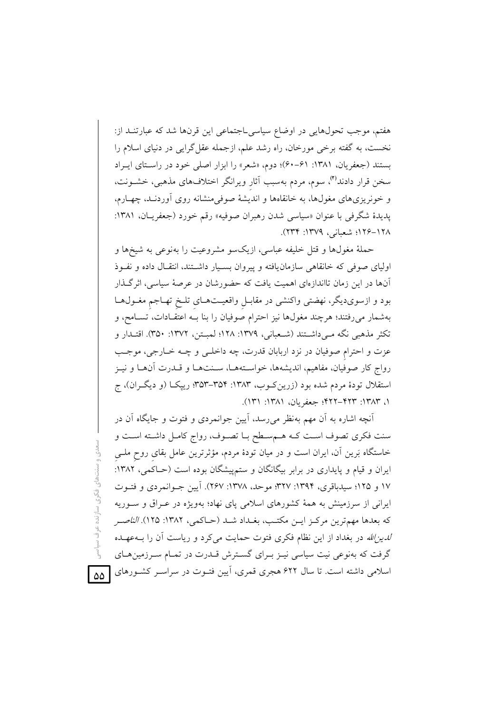هفتم، موجب تحولهايي در اوضاع سياسي اجتماعي اين قرنها شد كه عبارتنـد از: نخست، به گفته برخی مورخان، راه رشد علم، ازجمله عقل گرایی در دنیای اسلام را بستند (جعفریان، ۱۳۸۱: ۶۱-۶۰)؛ دوم، «شعر» را ابزار اصلی خود در راستای ایـراد سخن قرار دادند<sup>(۲)</sup>، سوم، مردم بهسبب آثار ویرانگر اختلافهای مذهبی، خشــونت، و خونریزیهای مغولها، به خانقاهها و اندیشهٔ صوفی منشانه روی آوردنـد، چهـارم، پدیدهٔ شگرفی با عنوان «سیاسی شدن رهبران صوفیه» رقم خورد (جعفریـان، ۱۳۸۱: ١٢٨–١٢٤؛ شعباني، ١٣٧٩: ٢٣۴).

حملهٔ مغولها و قتل خلیفه عباسی، ازیکسو مشروعیت را بهنوعی به شیخها و اولیای صوفی که خانقاهی سازمان یافته و پیروان بسـیار داشـتند، انتقـال داده و نفـوذ آنها در این زمان تااندازهای اهمیت یافت که حضورشان در عرصهٔ سیاسی، اثرگـذار بود و ازسوی دیگر، نهضتی واکنشی در مقابـل واقعیـتهـای تلـخ تهـاجم مغـولهـا بهشمار میرفتند؛ هرچند مغولها نیز احترام صوفیان را بنا بـه اعتقـادات، تسـامح، و تکثر مذهبی نگه مـی۵داشــتند (شــعبانی، ۱۳۷۹: ۱۲۸؛ لمبــتن، ۱۳۷۲: ۳۵۰). اقتــدار و عزت و احترام صوفيان در نزد اربابان قدرت، چه داخلي و چـه خـارجي، موجـب رواج كار صوفيان، مفاهيم، انديشهها، خواستههـا، سـنتهـا و قــدرت أنهـا و نيـز استقلال تودهٔ مردم شده بود (زرین کـوب، ۱۳۸۳: ۳۵۴–۳۵۳؛ ریپکـا (و دیگـران)، ج ١، ١٣٨٣: ٢٢٣-٢٢٢: جعفريان، ١٣٨١: ١٣١).

آنچه اشاره به أن مهم بهنظر می رسد، أيين جوانمردي و فتوت و جايگاه أن در سنت فكرى تصوف است كـه هـمسـطح بـا تصـوف، رواج كامـل داشـته اسـت و خاستگاه بَرین آن، ایران است و در میان تودهٔ مردم، مؤثرترین عامل بقای روح ملـی ایران و قیام و پایداری در برابر بیگانگان و ستمپیشگان بوده است (حـاکمی، ۱۳۸۲: ۱۷ و ۱۲۵؛ سیدباقری، ۱۳۹۴: ۱۳۷۷؛ موحد، ۱۳۷۸: ۲۶۷). آیین جـوانمردی و فتـوت ایرانی از سرزمینش به همهٔ کشورهای اسلامی پای نهاد؛ بهویژه در عـراق و سـوریه كه بعدها مهمترين مركـز ايــن مكتـب، بغـداد شــد (حـاكمي، ١٣٨٢: ١٢۵). *الناصـر لدین لله* در بغداد از این نظام فکری فتوت حمایت میکرد و ریاست آن را بــهعهــده گرفت که بهنوعی نیت سیاسی نیـز بـرای گسـترش قـدرت در تمـام سـرزمینهـای اسلامی داشته است. تا سال ۶۲۲ هجری قمری، آیین فتـوت در سراسـر کشـورهای

ىنتھاى فكرى سازنده عرف سياسي

 $\Delta\Delta$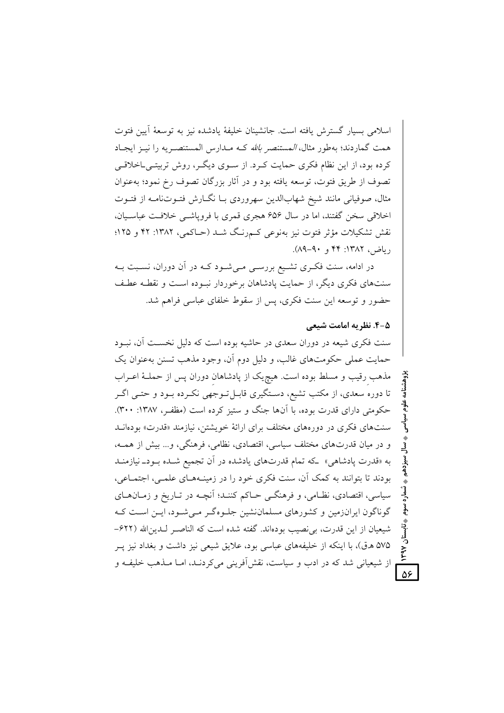اسلامي بسيار گسترش يافته است. جانشينان خليفهٔ يادشده نيز به توسعهٔ آيين فتوت همت گماردند؛ بهطور مثال، *المستنصر بالله* کـه مـدارس المستنصـريه را نيـز ايجـاد کرده بود، از این نظام فکری حمایت کـرد. از سـوی دیگـر، روش تربیتـیLخلاقـی تصوف از طريق فتوت، توسعه يافته بود و در أثار بزرگان تصوف رخ نمود؛ بهعنوان مثال، صوفیانی مانند شیخ شهابالدین سهروردی بـا نگــارش فتــوتنامــه از فتــوت اخلاقی سخن گفتند، اما در سال ۶۵۶ هجری قمری با فروپاشی خلافت عباسیان، نقش تشکیلات مؤثر فتوت نیز بەنوعی کےرنگ شــد (حـاکمی، ۱۳۸۲: ۴۲ و ۱۲۵؛ , ياضر ، ١٣٨٢: ۴۴ و ٩٠-٨٩).

در ادامه، سنت فکـری تشـیع بررسـی مـیشـود کـه در آن دوران، نسـبت بـه سنتهای فکری دیگر، از حمایت پادشاهان برخوردار نسوده است و نقطـه عطـف حضور و توسعه این سنت فکری، پس از سقوط خلفای عباسی فراهم شد.

#### ۵-۴. نظریه امامت شیعی

 $\overline{\mathsf{d}^{\mathsf{c}}}$ 

سنت فکری شیعه در دوران سعدی در حاشیه بوده است که دلیل نخسـت آن، نبــود حمايت عملي حكومتهاي غالب، و دليل دوم أن، وجود مذهب تسنن بهعنوان يک مذهب رقیب و مسلط بوده است. هیچ یک از پادشاهان دوران پس از حملـهٔ اعـراب تا دوره سعدي، از مكتب تشيع، دسـتگيري قابـلتـوجهي نكـرده بـود و حتـي اگـر حکومتی دارای قدرت بوده، با آنها جنگ و ستیز کرده است (مظفر، ۱۳۸۷: ۳۰۰). سنتهای فکری در دورههای مختلف برای ارائهٔ خویشتن، نیازمند «قدرت» بودهانـد و در میان قدرتهای مختلف سیاسی، اقتصادی، نظامی، فرهنگی، و... بیش از همــه، به «قدرت یادشاهی» که تمام قدرتهای یادشده در آن تجمیع شـده بـود\_نیازمنـد بودند تا بتوانند به کمک آن، سنت فکری خود را در زمینـههـای علمـی، اجتمـاعی، سیاسی، اقتصادی، نظـامی، و فرهنگــی حــاکم کننــد؛ آنچــه در تــاریخ و زمــان۱هــای گوناگون ایرانزمین و کشورهای مسلماننشین جلوهگر مبی شـود، ایـن اسـت کـه شيعيان از اين قدرت، بي نصيب بودهاند. گفته شده است كه الناصـر لـدين\لله (۶۲۲-۵۷۵ هـ ق)، با اینکه از خلیفههای عباسی بود، علایق شیعی نیز داشت و بغداد نیز پــر از شیعیانی شد که در ادب و سیاست، نقش آفرینی می کردنـد، امـا مـذهب خلیفـه و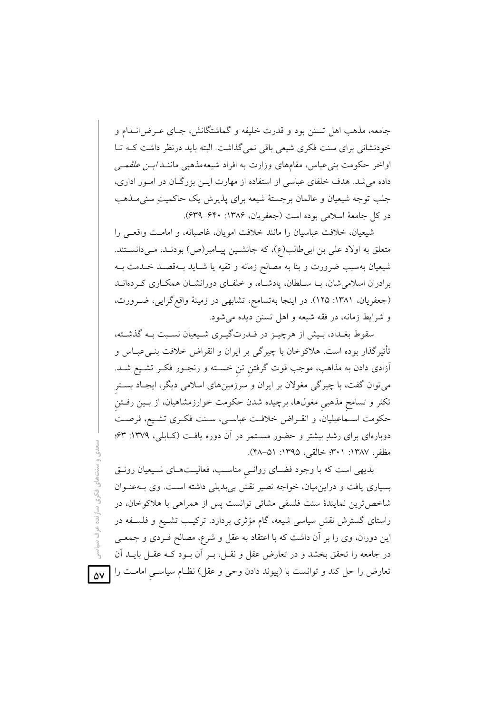جامعه، مذهب اهل تسنن بود و قدرت خلیفه و گماشتگانش، جـای عـرض(نــدام و خودنشانی برای سنت فکری شیعی باقی نمی گذاشت. البته باید درنظر داشت کـه تـا اواخر حکومت بنی عباس، مقامهای وزارت به افراد شیعهمذهبی ماننـ*د ابــن علقمــی* داده می شد. هدف خلفای عباسی از استفاده از مهارت ایـن بزرگـان در امـور اداری، جلب توجه شیعیان و عالمان برجستهٔ شیعه برای پذیرش یک حاکمیتِ سنی مـذهب در كل جامعة اسلامي بوده است (جعفريان، ۱۳۸۶: ۶۳۰–۶۳۹).

شیعیان، خلافت عباسیان را مانند خلافت امویان، غاصبانه، و امامت واقعی را متعلق به اولاد علی بن ابیطالب(ع)، که جانشـین پیـامبر(ص) بودنـد، مـیدانسـتند. شیعیان بهسبب ضرورت و بنا به مصالح زمانه و تقیه یا شـاید بـهقصـد خـدمت بــه برادران اسلامی شان، بـا سـلطان، یادشـاه، و خلفـای دورانشـان همکـاری کـردهانــد (جعفریان، ۱۳۸۱: ۱۲۵). در اینجا بهتسامح، تشابهی در زمینهٔ واقع گرایی، ضـرورت، و شرایط زمانه، در فقه شیعه و اهل تسنن دیده می شود.

سقوط بغـداد، بـیش از هرچیــز در قــدرتگیــری شــیعیان نســبت بــه گذشــته، تأثیرگذار بوده است. هلاکوخان با چیرگی بر ایران و انقراض خلافت بنـیءبـاس و اَزادی دادن به مذاهب، موجب قوت گرفتن تن خســته و رنجــور فکــر تشــیع شــد. میتوان گفت، با چیرگی مغولان بر ایران و سرزمینهای اسلامی دیگر، ایجـاد بسـتر تکثر و تسامح مذهبی مغولها، برچیده شدن حکومت خوارزمشاهیان، از بـین رفــتن حکومت اسـماعیلیان، و انقـراض خلافـت عباسـی، سـنت فکـری تشـیع، فرصـت دوبارهای برای رشدِ بیشتر و حضور مسـتمر در آن دوره یافـت (کــابلی، ۱۳۷۹: ۶۳؛ مظفر، ١٣٨٧: ٣٠١؛ خالقي، ١٣٩٥: ٥١–۴٨).

بدیهی است که با وجود فضـای روانـی مناسـب، فعالیـتهـای شـیعیان رونـق بسیاری یافت و دراین.میان، خواجه نصیر نقش بی بدیلی داشته است. وی بـهعنـوان شاخصترین نمایندهٔ سنت فلسفی مشائی توانست پس از همراهی با هلاکوخان، در راستای گسترش نقش سیاسی شیعه، گام مؤثری بردارد. ترکیب تشـیع و فلسـفه در این دوران، وی را بر آن داشت که با اعتقاد به عقل و شرع، مصالح فـردی و جمعـی در جامعه را تحقق بخشد و در تعارض عقل و نقـل، بـر آن بـود كـه عقـل بايــد آن تعارض را حل کند و توانست با (پیوند دادن وحی و عقل) نظــام سیاســـیِ امامــت را <mark>۵۷</mark>

نتاهای فکری سازنده عرف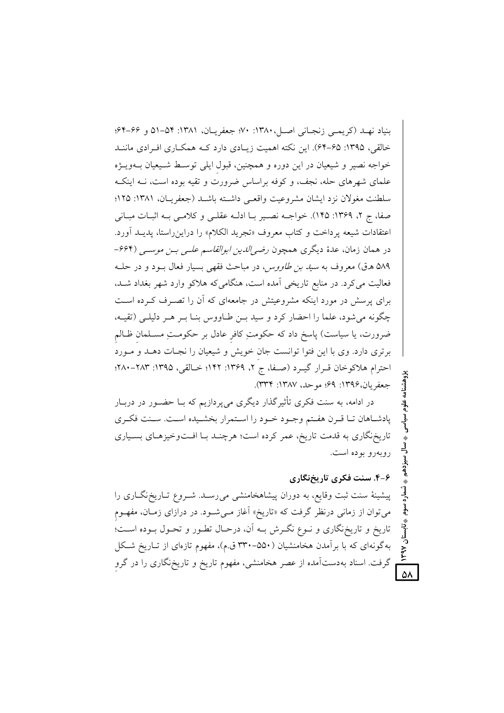بنياد نهـد (كريمـي زنجـاني اصـل، ١٣٨٠: ٧٠؛ جعفريـان، ١٣٨١: ٥۴-٥١ و ۶۶-۶۴؛ خالقی، ۱۳۹۵: ۶۵–۶۴). این نکته اهمیت زیـادی دارد کـه همکـاری افـرادی ماننـد خواجه نصیر و شیعیان در این دوره و همچنین، قبول ایلی توسط شـیعیان بـهویــژه علمای شهرهای حله، نجف، و کوفه براساس ضرورت و تقیه بوده است، نــه اینکــه سلطنت مغولان نزد ايشان مشروعيت واقعـي داشـته باشـد (جعفريـان، ١٣٨١: ١٢٥؛ صفا، ج ٢، ١٣۶٩: ١٢٥). خواجـه نصـير بـا ادلـه عقلـي و كلامـي بـه اثبـات مبـاني اعتقادات شيعه پرداخت و كتاب معروف «تجريد الكلام» را دراين راستا، پديـد آورد. در همان زمان، عدهٔ دیگری همچون *رضو الدین ابوالقاسم علـی بـن موسـی* (۶۶۴-۵۸۹ ه.ق) معروف به *سید بن طاووس*، در مباحث فقهی بسیار فعال بود و در حلـه فعالیت می کرد. در منابع تاریخی آمده است، هنگامی که هلاکو وارد شهر بغداد شـد. برای پرسش در مورد اینکه مشروعیتش در جامعهای که آن را تصـرف کـرده اسـت چگونه می شود، علما را احضار کرد و سید بـن طـاووس بنـا بـر هـر دلیلـی (تقیـه، ضرورت، يا سياست) پاسخ داد كه حكومتِ كافرِ عادل بر حكومـتِ مسـلمان ظـالم برتری دارد. وی با این فتوا توانست جان خویش و شیعیان را نجـات دهـد و مـورد احترام هلاكوخان قـرار گيـرد (صـفا، ج ٢، ١٣۶٩: ١٢٢: خـالقي، ١٣٩٥: ٢٨٢-٢٨٠؛ جعفريان،١٣٩۶: ۶٩؛ موحد، ١٣٨٧: ٣٣٣).

در ادامه، به سنت فکری تأثیرگذار دیگری می پردازیم که بــا حضــور در دربــار پادشاهان تـا قـرن هفـتم وجـود خـود را اسـتمرار بخشـيده اسـت. سـنت فكـرى تاریخنگاری به قدمت تاریخ، عمر کرده است؛ هرچنـد بـا افـتوخیزهـای بسـیاری روبهرو بوده است.

## ۶–۴. سنت فکری تاریخنگاری

 $\overline{\mathsf{d}}$ 

پیشینهٔ سنت ثبت وقایع، به دوران پیشاهخامنشی می رسـد. شـروع تـاریخنگـاری را میتوان از زمانی درنظر گرفت که «تاریخ» آغاز مـیشـود. در درازای زمـان، مفهـوم تاریخ و تاریخنگاری و نـوع نگـرش بـه آن، درحـال تطـور و تحـول بـوده اسـت؛ به گونهای که با برآمدن هخامنشیان (۵۵۰–۳۳۰ ق.م)، مفهوم تازهای از تـاریخ شـکل گرفت. اسناد بهدستآمده از عصر هخامنشی، مفهوم تاریخ و تاریخ،گاری را در گرو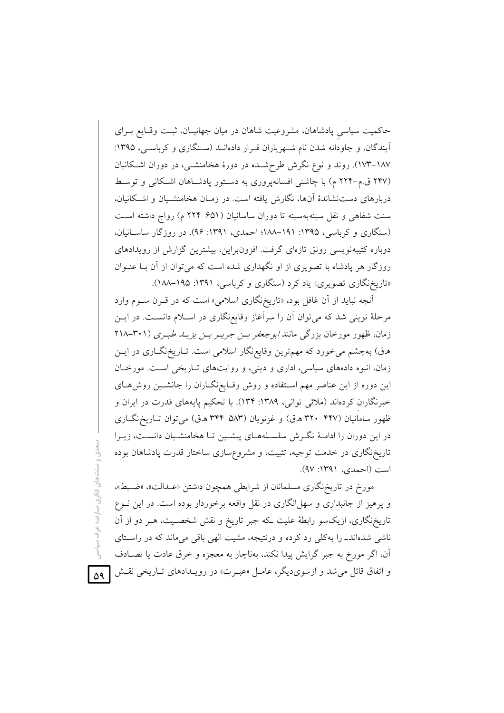حاکمیت سیاسی پادشاهان، مشروعیت شاهان در میان جهانیـان، ثبـت وقـایع بـرای آیندگان، و جاودانه شدن نام شـهریاران قـرار دادهانـد (سـنگاری و کرباسـی، ۱۳۹۵: ۱۸۷–۱۷۳). روند و نوع نگرش طرحشـده در دورهٔ هخامنشــی، در دوران اشــکانیان (۲۴۷ ق.م-۲۲۴ م) با چاشنی افسانهپروری به دستور یادشاهان اشکانی و توسط دربارهای دست نشاندهٔ آنها، نگارش یافته است. در زمـان هخامنشـیان و اشـکانیان، سنت شفاهی و نقل سینهبهسینه تا دوران ساسانیان (۶۵۱–۲۲۴ م) رواج داشته است (سنگاری و کرباسی، ۱۳۹۵: ۱۹۱–۱۸۸؛ احمدی، ۱۳۹۱: ۹۶). در روزگار ساسانیان، دوباره کتیبهنویسی رونق تازهای گرفت. افزونبراین، بیشترین گزارش از رویدادهای روزگار هر یادشاه با تصویری از او نگهداری شده است که می توان از آن بـا عنــوان «تاریخنگاری تصویری» یاد کرد (سنگاری و کرباسی، ۱۳۹۱: ۱۸۵–۱۸۸).

آنچه نباید از آن غافل بود، «تاریخنگاری اسلامی» است که در قـرن سـوم وارد مرحلهٔ نوینی شد که میتوان آن را سرآغاز وقایعنگاری در اسـلام دانسـت. در ایــن زمان، ظهور مورخان بزرگی مانند *ابوجعفر بـن جريـر بـن يزيـــا طبـرى (*۳۰۱–۲۱۸ هـق) بهچشم میخورد که مهمترین وقایع،نگار اسلامی است. تـاریخ،نگــاری در ایــن زمان، انبوه دادههای سیاسی، اداری و دینی، و روایتهای تـاریخی اسـت. مورخـان این دوره از این عناصر مهم استفاده و روش وقـایع،نگـاران را جانشـین روشهـای خبرنگاران کردهاند (ملائی توانی، ۱۳۸۹: ۱۳۴). با تحکیم پایههای قدرت در ایران و ظهور سامانیان (۴۴۷–۳۲۰ ه.ق) و غزنویان (۵۸۳–۳۴۴ ه.ق) می توان تـاریخ نگـاری در این دوران را ادامـهٔ نگـرش سلسـلههـای پیشـین تـا هخامنشـیان دانسـت، زیـرا تاریخنگاری در خدمت توجیه، تثبیت، و مشروعسازی ساختار قدرت پادشاهان بوده است (احمدی، ۱۳۹۱: ۹۷).

مورخ در تاریخ نگاری مسلمانان از شرایطی همچون داشتن «عـدالت»، «ضـبط»، و پرهیز از جانبداری و سهل انگاری در نقل واقعه برخوردار بوده است. در این نــوع تاریخنگاری، ازیکسو رابطهٔ علیت که جبر تاریخ و نقش شخصـیت، هـر دو از آن ناشی شدهاندـ را بهکلی رد کرده و درنتیجه، مشیت الهی باقی میماند که در راستای آن، اگر مورخ به جبر گرایش پیدا نکند، بهناچار به معجزه و خرق عادت یا تصـادف و اتفاق قائل میشد و ازسوی٫یگر، عامـل «عبـرت» در رویـدادهای تـاریخی نقـش <mark>[۵۹</mark>

سنتهای فکری سازنده عرف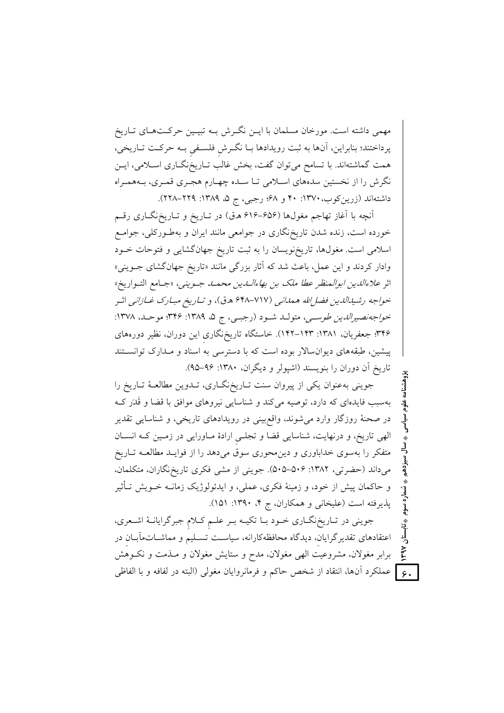مهمی داشته است. مورخان مسلمان با ایــن نگــرش بــه تبیــین حرکــتهــای تــاریخ پرداختند؛ بنابراین، آنها به ثبت رویدادها بـا نگـرش فلسـفی بـه حرکـت تـاریخی، همت گماشتهاند. با تسامح میٍتوان گفت، بخش غالب تـاریخنگــاری اســلامی، ایــن نگرش را از نخستین سدههای اسلامی تـا سـده چهـارم هجـری قمـری، بـههمـراه داشتهاند (زرین کوب، ۱۳۷۰: ۴۰ و ۶۸؛ رجبی، ج ۵، ۱۳۸۹: ۲۲۹–۲۲۸).

آنچه با آغاز تهاجم مغولها (۶۵۶–۶۱۶ هـق) در تـاريخ و تـاريخنگـاري رقـم خورده است، زنده شدن تاریخ،گاری در جوامعی مانند ایران و بهطـورکلی، جوامـع اسلامی است. مغولها، تاریخنویسان را به ثبت تاریخ جهانگشایی و فتوحات خــود وادار کردند و این عمل، باعث شد که آثار بزرگی مانند «تاریخ جهانگشای جــوینی» اثر *علاءالدين ابوالمنظر عطا ملك بن بهاءالـدين محمـد جـويني*، «جـامع التـواريخ» خواجه رشيدالدين فضا الله همداني (٧١٧-٤٤٨ ه.ق)، و تباريخ مبيارك غبازاني اثير خواجه نصيرالدين طوسي، متولـد شـود (رجبـي، ج ۵، ١٣٨٩: ٣۴۶؛ موحـد، ١٣٧٨: ۳۴۶؛ جعفریان، ۱۳۸۱: ۱۴۳–۱۴۲). خاستگاه تاریخ،نگاری این دوران، نظیر دورههای پیشین، طبقههای دیوانسالار بوده است که با دسترسی به اسناد و مـدارک توانسـتند تاریخ آن دوران را بنویسند (اشیولر و دیگران، ۱۳۸۰: ۹۶–۹۵).

جوینی بهعنوان یکی از پیروان سنت تـاریخنگـاری، تـدوین مطالعـهٔ تـاریخ را بهسبب فایدهای که دارد، توصیه می کند و شناسایی نیروهای موافق با قضا و قَدَر ک در صحنهٔ روزگار وارد میشوند، واقع بینی در رویدادهای تاریخی، و شناسایی تقدیر الهی تاریخ، و درنهایت، شناسایی قضا و تجلبی ارادهٔ مـاورایی در زمـین کـه انسـان متفکر را بهسوی خداباوری و دین محوری سوق میدهد را از فوایـد مطالعـه تــاریخ میداند (حضرتی، ۱۳۸۲: ۵۰۶–۵۰۵). جوینی از مشی فکری تاریخ نگاران، متکلمان، و حاکمان پیش از خود، و زمینهٔ فکری، عملی، و ایدئولوژیک زمانــه خــویش تــأثیر پذیرفته است (علیخانی و همکاران، ج ۴، ۱۳۹۰: ۱۵۱).

جوینی در تـاریخنگــاری خــود بــا تکیــه بــر علــم کــلام جبرگرایانــهٔ اشــعری، اعتقادهای تقدیرگرایان، دیدگاه محافظهکارانه، سیاست تسـلیم و مماشــاتمآبــان در برابر مغولان، مشروعیت الهی مغولان، مدح و ستایش مغولان و مـذمت و نکـوهش ـ G ] عملكرد آنها، انتقاد از شخص حاكم و فرمانروايان مغول<sub>ى</sub> (البته در لفافه و با الفاظى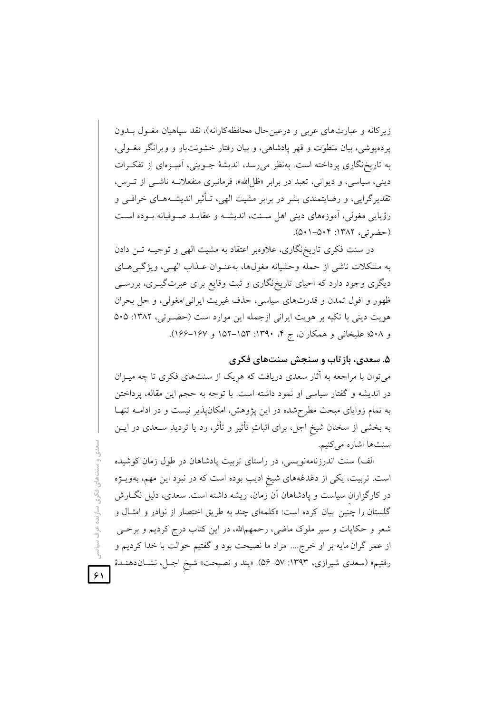زیر کانه و عبارتهای عربی و درعین حال محافظه کارانه)، نقد سیاهیان مغـول بــدون پردهپوشی، بیان سَطوَت و قهر یادشاهی، و بیان رفتار خشونتبار و ویرانگر مغــولی، به تاریخنگاری پرداخته است. بهنظر می رسد، اندیشهٔ جــوینی، آمیــزهای از تفکــرات دینی، سیاسی، و دیوانی، تعبد در برابر «ظل الله»، فرمانبری منفعلانــه ناشــی از تــرس، تقدیر گرایی، و رضایتمندی بشر در برابر مشیت الهی، تـأثیر اندیشــههــای خرافــی و رؤیایی مغولی، اَموزههای دینی اهل سـنت، اندیشـه و عقایـد صـوفیانه بـوده اسـت (حضرتی، ١٣٨٢: ۵٠١-۵٠١).

در سنت فکری تاریخ نگاری، علاوهبر اعتقاد به مشیت الهی و توجیـه تــن دادن به مشکلات ناشی از حمله وحشیانه مغولها، بهعنـوان عـذاب الهـی، ویژگـیهـای دیگری وجود دارد که احیای تاریخنگاری و ثبت وقایع برای عبرتگیـری، بررســی ظهور و افول تمدن و قدرتهای سیاسی، حذف غیریت ایرانی/مغولی، و حل بحران هويت ديني با تكيه بر هويت ايراني ازجمله اين موارد است (حضرتي، ١٣٨٢: ٥٠٥ و ۵۰۸؛ علیخانی و همکاران، ج ۴، ۱۳۹۰: ۱۵۳–۱۵۲ و ۱۶۷–۱۶۶).

### ۵. سعدی، بازتاب و سنجش سنتهای فکری

میتوان با مراجعه به آثار سعدی دریافت که هریک از سنتهای فکری تا چه میـزان در اندیشه و گفتار سیاسی او نمود داشته است. با توجه به حجم این مقاله، پرداختن به تمام زوایای مبحث مطرح شده در این پژوهش، امکانپذیر نیست و در ادامـه تنهـا به بخشی از سخنان شیخ اجل، برای اثباتِ تأثیر و تأثر، رد یا تردیدِ سـعدی در ایــن سنتها اشاره مي كنيم.

الف) سنت اندرزنامهنویسی، در راستای تربیت پادشاهان در طول زمان کوشیده است. تربیت، یکی از دغدغههای شیخ ادیب بوده است که در نبود این مهم، بهویــژه در کارگزاران سیاست و پادشاهان آن زمان، ریشه داشته است. سعدی، دلیل نگــارش گلستان را چنین بیان کرده است: «کلمهای چند به طریق اختصار از نوادر و امثـال و شعر و حکایات و سیر ملوک ماضی، رحمهمالله، در این کتاب درج کردیم و برخــی از عمر گران مایه بر او خرج.... مراد ما نصیحت بود و گفتیم حوالت با خدا کردیم و رفتيم» (سعدي شيرازي، ١٣٩٣: ۵۷–۵۶). «پند و نصيحت» شيخ اجـل، نشــان(هنــدهٔ

 $51$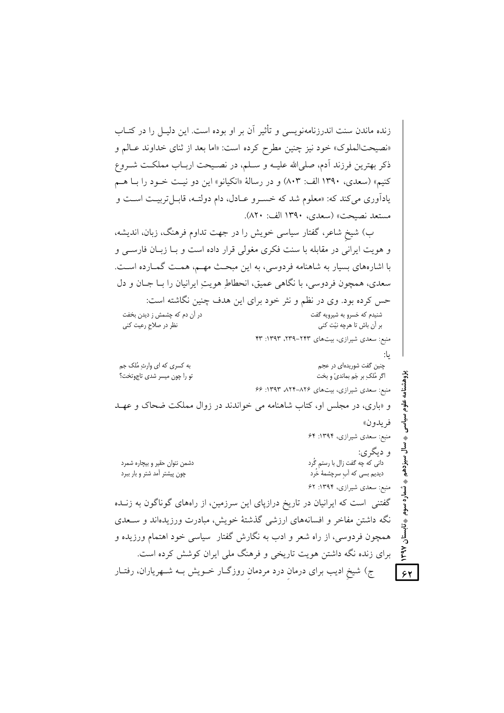زنده ماندن سنت اندرزنامهنويسي و تأثير آن بر او بوده است. اين دليـل را در كتــاب «نصیحتالملوک» خود نیز چنین مطرح کرده است: «اما بعد از ثنای خداوند عـالم و ذكر بهترين فرزند أدم، صلى الله عليــه و ســلم، در نصــيحت اربــاب مملكــت شــروع کنیم» (سعدی، ۱۳۹۰ الف: ۸۰۳) و در رسالهٔ «انکبانو» این دو نبت خبود را بیا هیم یادآوری می کند که: «معلوم شد که خسـرو عــادل، دام دولتــه، قابــل تربیــت اســت و مستعد نصبحت» (سعدي، ١٣٩٠ الف: ٨٢٠).

ب) شیخ شاعر، گفتار سیاسی خویش را در جهت تداوم فرهنگ، زبان، اندیشه، و هويت ايراني در مقابله با سنت فكرى مغولي قرار داده است و بـا زبـان فارســي و با اشارههای بسیار به شاهنامه فردوسی، به این مبحث مهـم، همـت گمـارده اسـت. سعدي، همچون فردوسي، يا نگاهي عميق، انحطاط هويت ايرانيان را بــا جــان و دل حس کرده بود. وی در نظم و نثر خود برای این هدف چنین نگاشته است: در آن دم که چشمش ز دیدن بخفت شنیدم که خسرو به شیرویه گفت نظر در صلاحِ رعیت کنی بر أن باش تا هرچه نيّت كني منبع: سعدی شیرازی، بیتهای ۲۴۳–۲۳۹، ۱۳۹۳: ۴۳ يا: به کسری که ای وارثِ مُلک جم چنین گفت شوریدهای در عجم اگر مُلکِ بر جَم بمانديّ و بخت تو را چون میسر شدی تاجوتخت؟ منبع: سعدی شیرازی، بیتهای ۸۲۶–۸۲۴ ۱۳۹۳: ۶۶ و «باری، در مجلس او، کتاب شاهنامه می خواندند در زوال مملکت ضحاک و عهـد فريدون» منبع: سعدی شیرازی، ۱۳۹۴: ۶۴ و دیگری: سيزدهم دشمن نتوان حقير و بيچاره شمرد دانی که چه گفت زال با رستم گُرد چون پیشتر آمد شتر و بار ببرد دیدیم بسی که آب سرچشمهٔ خُرد منبع: سعدی شیرازی، ۱۳۹۴: ۶۲ گفتنی است که ایرانیان در تاریخ درازپای این سرزمین، از راههای گوناگون به زنــده نگه داشتن مفاخر و افسانههای ارزشی گذشتهٔ خویش، مبادرت ورزیدهاند و سـعدی همچون فردوسی، از راه شعر و ادب به نگارش گفتار ً سیاسی خود اهتمام ورزیده و **NedA** برای زنده نگه داشتن هویت تاریخی و فرهنگ ملی ایران کوشش کرده است. ج) شیخ ادیب برای درمان درد مردمان روزگـار خــویش بــه شــهریاران، رفتــار  $54$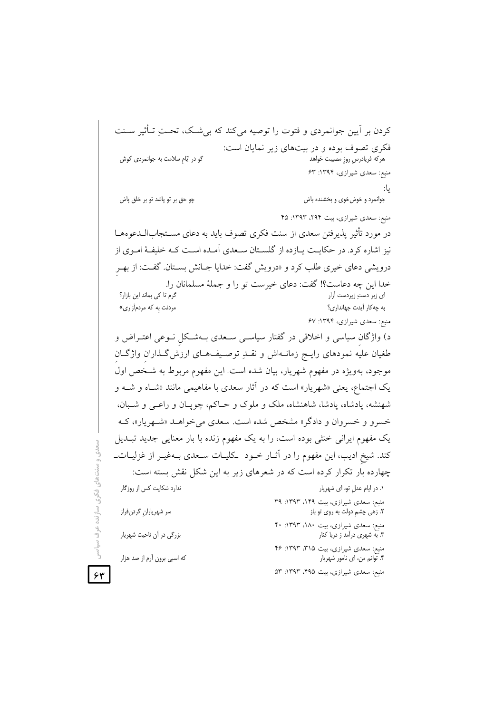کردن بر آیین جوانمردی و فتوت را توصیه می کند که بی شبک، تحـتِ تــأثیر ســنت فکری تصوف بوده و در بیتهای زیر نمایان است: گو در ايّام سلامت به جوانمردي كوش هركه فريادرس روزٍ مصيبت خواهد منبع: سعدی شیرازی، ۱۳۹۴: ۶۳ ىا: چو حق بر تو پاشد تو بر خلق پاش جوانمرد و خوش خوی و بخشنده باش منبع: سعدی شیرازی، بیت ۲۹۴، ۱۳۹۳: ۴۵ در مورد تأثیر پذیرفتن سعدی از سنت فکری تصوف باید به دعای مسـتجابالــدعوههــا نیز اشاره کرد. در حکایـت پــازده از گلســتان ســعدي آمــده اســت کــه خلیفــهٔ امــوی از درویشی دعای خیری طلب کرد و «درویش گفت: خدایا جـانش بسـتان. گفـت: از بهـر خدا اين چه دعاست؟! گفت: دعاى خيرست تو را و جملهٔ مسلمانان را. گرم تا کی بماند این بازار؟ ای زبر دستِ زیردست آزار مردنت به که مردمآزاری» به چه کار آیدت جهانداری؟ منبع: سعدی شیرازی، ۱۳۹۴: ۶۷ د) واژگان سیاسی و اخلاقی در گفتار سیاسـی ســعدی بــهشـکل نــوعی اعتــراض و طغیان علیه نمودهای رایج زمانـهاش و نقـلهِ توصـیفهـای ارزش گـذاران واژگـان موجود، بهویژه در مفهوم شهریار، بیان شده است. این مفهوم مربوط به شـخص اول یک اجتماع، یعنی «شهریار» است که در آثار سعدی با مفاهیمی مانند «شـاه و شــه و شهنشه، یادشاه، یادشا، شاهنشاه، ملک و ملوک و حـاکم، چوپـان و راعـی و شـبان. خسرو و خسروان و دادگر» مشخص شده است. سعدی میخواهـد «شـهریار»، کـه یک مفهوم ایرانی خنثی بوده است، را به یک مفهوم زنده با بار معنایی جدید تبـدیل کند. شیخ ادیب، این مفهوم را در آثـار خــود کلیـات ســعدی بــهفیــر از غزلیــاتـــ چهارده بار تکرار کرده است که در شعرهای زیر به این شکل نقش بسته است: ندارد شکایت کس از روزگار ۰۱ در ایام عدل تو، ای شهریار منبع: سعدی شیرازی، بیت ۱۴۹، ۱۳۹۳: ۳۹ سر شهرياران گردنفراز ٢. زهي چشمِ دولت به روي تو باز منبع: سعدی شیرازی، بیت ۱۸۰، ۱۳۹۳: ۴۰ ۳. به شهری درآمد ز دریا کنار بزرگی در آن ناحیت شهریار منبع: سعدی شیرازی، بیت ۱۳۹۵: ۴۶: ۴۶ که اسبی برون آرم از صد هزار ۴. توانم من، اي نامور شهريار منبع: سعدی شیرازی، بیت ۴۹۵، ۱۳۹۳: ۵۳

اهای فکری سازنده عر

 $54$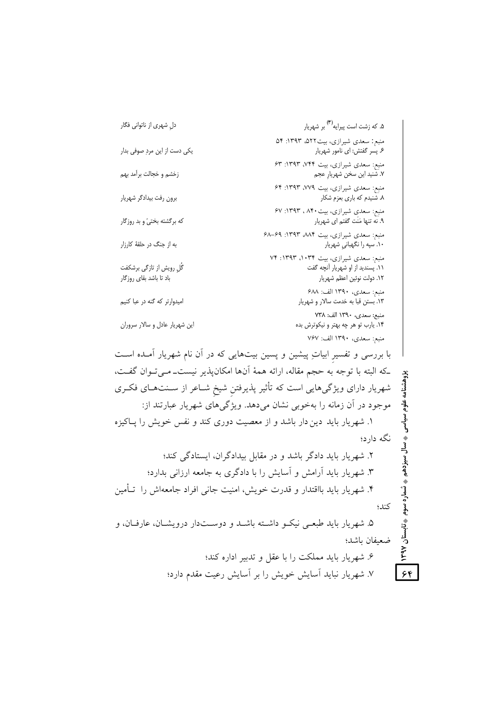۵. که زشت است پیرایه<sup>(۳)</sup> بر شهریار دل شهري از ناتواني فگار منبع: سعدي شيرازي، بيت٥٢٢، ١٣٩٣: ٥۴ یکی دست از این مردِ صوفی بدار ع پسر گفتش: ای نامور شهریار منبع: سعدی شیرازی، بیت ۷۴۴، ۱۳۹۳: ۶۳ زخشم و خجالت برآمد بهم ٧. شنيد اين سخن شهريارٍ عجم منبع: سعدی شیرازی، بیت ۷۷۹، ۱۳۹۳: ۶۴ برون رفت بيدادگر شهريار ۸. شنیدم که باری بعزم شکار منبع: سعدی شیرازی، بیت ۸۴۰، ۱۳۹۳: ۶۷ که برگشته بختیّ و بد روزگار ۹. نه تنها مَنَت گفتم ای شهریار منبع: سعدی شیرازی، بیت ۸۸۴، ۱۳۹۳: ۶۸–۶۸ به از جنگ در حلقهٔ کارزار ۱۰. سپه را نگهبانی شهریار منبع: سعدی شیرازی، بیت ۱۰۳۴، ۱۳۹۳: ۷۴ گُل رویش از تازگی برشکفت ٬۱۱ پسندید از او شهریار آنچه گفت یاد تا باشد بقای روزگار ١٢. دولت نوئين اعظم شهريار منبع: سعدي، ١٣٩٠ الف: ۶۸۸ امیدوارتر که گنه در عبا کنیم ١٣. بستن قبا به خدمت سالار و شهريار منبع: سعدى، ١٣٩٠ الف: ٧٣٨ این شهریار عادل و سالار سروران ۱۴. یارب تو هر چه بهتر و نیکوترش بده منبع: سعدي، ١٣٩٠ الف: ٧۶٧ با بررسی و تفسیر ابیاتِ پیشین و پسین بیتهایی که در آن نام شهریار آمـده اسـت كه البته با توجه به حجم مقاله، ارائه همهٔ آنها امكانپذير نيست۔مـيتوان گفـت، پژوهشنامه علوم سیاسی شهریار دارای ویژگیهایی است که تأثیر پذیرفتن شیخ شـاعر از سـنتهـای فکـری موجود در آن زمانه را بهخوبی نشان می دهد. ویژگی های شهریار عبارتند از: ۱. شهریار باید دین دار باشد و از معصیت دوری کند و نفس خویش را پاکیزه نگه دارد؛ ♦ سال سيزدهم ۲. شهریار باید دادگر باشد و در مقابل بیدادگران، ایستادگی کند؛ ۳. شهریار باید آرامش و آسایش را با دادگری به جامعه ارزانی بدارد؛ ⇒ شماره سوم ۴. شهریار باید بااقتدار و قدرت خویش، امنیت جانبی افراد جامعهاش را تـأمین كند؛ ♦ تابستان ۵. شهریار باید طبعـی نیکـو داشـته باشـد و دوســتدار درویشــان، عارفــان، و ضعيفان باشد؛ I Abal ۶. شهریار باید مملکت را با عقل و تدبیر اداره کند؛  $56$ ۷. شهریار نباید آسایش خویش را بر آسایش رعیت مقدم دارد؛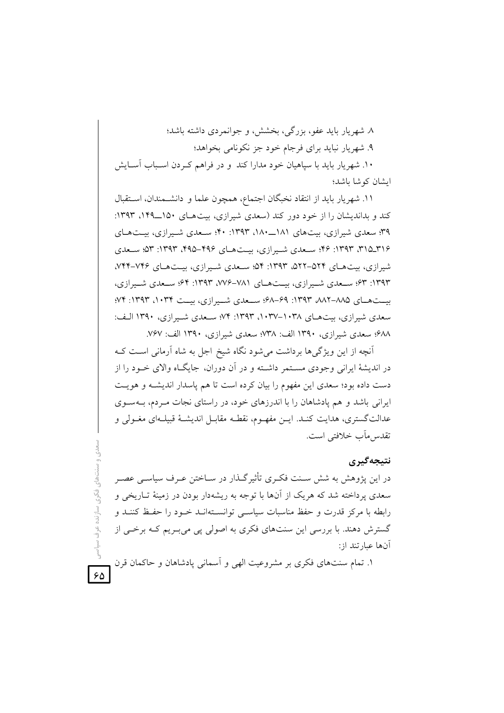٨. شهريار بايد عفو، بزرگي، بخشش، و جوانمردي داشته باشد؛ ۹. شهریار نباید برای فرجام خود جز نکونامی بخواهد؛ ۱۰. شهریار باید با سیاهیان خود مدارا کند و در فراهم کـردن اسـباب آسـایش ایشان کوشا باشد؛

١١. شهريار بايد از انتقاد نخبگان اجتماع، همچون علما و دانشـمندان، اسـتقبال کند و بداندیشان را از خود دور کند (سعدی شیرازی، بیت هـای ۱۵۰\_۱۴۹، ۱۳۹۳: ۳۹؛ سعدی شیرازی، بیتهای ۱۸۱\_۱۸۰، ۱۳۹۳: ۴۰؛ سیعدی شیرازی، بیتهای ۳۱۵\_۲۱۶، ۱۳۹۳: ۴۶؛ سیعدی شیرازی، بیتهای ۴۹۶–۴۹۵، ۱۳۹۳: ۵۳؛ سیعدی شبرازی، ستهای ۵۲۴–۵۲۲، ۱۳۹۳: ۵۴؛ سعدی شیرازی، بیتهای ۷۴۶–۷۴۴، ۱۳۹۳: ۶۳؛ سیعدی شیبرازی، بیتهبای ۷۸۱–۱۳۹۴: ۶۴؛ سیعدی شیبرازی، بست هسای ۱۳۹۳، ۱۳۹۳: ۶۹–۶۸؛ سبعدی شبیرازی، بیست ۱۰۳۴، ۱۳۹۳: ۷۴؛ سعدی شیرازی، بیتهای ۱۰۳۸–۱۰۳۷، ۱۳۹۳: ۷۴؛ سـعدی شـیرازی، ۱۳۹۰ الـف: ۶۸۸؛ سعدی شیرازی، ۱۳۹۰ الف: ۷۳۸؛ سعدی شیرازی، ۱۳۹۰ الف: ۷۶۷.

آنچه از این ویژگی ها برداشت می شود نگاه شیخ اجل به شاه آرمانی است ک در اندیشهٔ ایرانی وجودی مسـتمر داشـته و در آن دوران، جایگــاه والای خــود را از دست داده بود؛ سعدی این مفهوم را بیان کرده است تا هم پاسدار اندیشـه و هویـت ایرانی باشد و هم یادشاهان را با اندرزهای خود، در راستای نجات مـردم، بــهسـوی عدالتگستری، هدایت کنـد. ایــن مفهــوم، نقطـه مقابــل اندیشــهٔ قبیلــهای مغــولی و تقدس مآب خلافتی است.

#### نتيجەگىرى

در این پژوهش به شش سـنت فکـری تأثیرگـذار در سـاختن عـرف سیاســی عصــر سعدی یرداخته شد که هریک از آنها با توجه به ریشهدار بودن در زمینهٔ تــاریخی و رابطه با مرکز قدرت و حفظ مناسبات سیاسبی توانسـتهانــد خــود را حفــظ کننــد و گسترش دهند. با بررسی این سنتهای فکری به اصولی یی می بـریم کـه برخـی از آنها عبارتند از:

۱. تمام سنتهای فکری بر مشروعیت الهی و آسمانی پادشاهان و حاکمان قرن

 $50^{\circ}$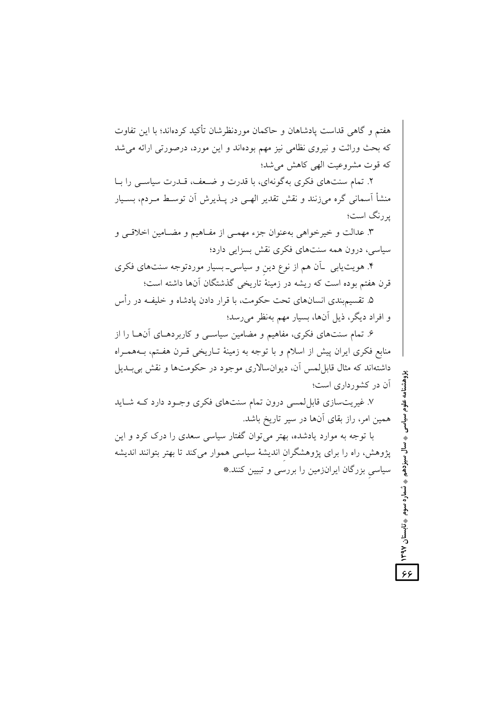هفتم و گاهی قداست پادشاهان و حاکمان موردنظرشان تأکید کردهاند؛ با این تفاوت که بحث وراثت و نیروی نظامی نیز مهم بودهاند و این مورد، درصورتی ارائه می شد كه قوت مشروعيت الهي كاهش مي شد؛

۲. تمام سنتهای فکری به گونهای، با قدرت و ضبعف، قبدرت سیاستی را بیا منشأ اسمانی گره می;زنند و نقش تقدیر الهـی در پــذیرش اَن توسـط مــردم، بســیار پررنگ است؛

۳. عدالت و خیرخواهی بهعنوان جزء مهمـی از مفـاهیم و مضـامین اخلاقـی و سیاسی، درون همه سنتهای فکری نقش بسزایی دارد؛

۴. هویت یابی \_آن هم از نوع دین و سیاسی\_ بسیار موردتوجه سنتهای فکری قرن هفتم بوده است که ریشه در زمینهٔ تاریخی گذشتگان آنها داشته است؛

۵. تقسیم.بندی انسانهای تحت حکومت، با قرار دادن یادشاه و خلیف در رأس و افراد دیگر، ذیل آنها، بسیار مهم بهنظر میرسد؛

۶. تمام سنتهای فکری، مفاهیم و مضامین سیاسـی و کاربردهـای آنهـا را از منابع فکری ایران پیش از اسلام و با توجه به زمینهٔ تـاریخی قــرن هفــتم، بــههمــراه داشتهاند که مثال قابل لمس آن، دیوانسالاری موجود در حکومتها و نقش بی بــدیل آن در کشورداری است؛

۷. غیریتسازی قابلِ لمسی درون تمام سنتهای فکری وجـود دارد کـه شـاید همین امر، راز بقای آنها در سیر تاریخ باشد.

با توجه به موارد یادشده، بهتر می توان گفتار سیاسی سعدی را درک کرد و این پژوهش، راه را برای پژوهشگران اندیشهٔ سیاسی هموار میکند تا بهتر بتوانند اندیشه سیاسی بزرگان ایرانزمین را بررسی و تبیین کنند.\*

سال سیزدهم → تُسماره سوم →تابستان ۱۳۹۷

 $55$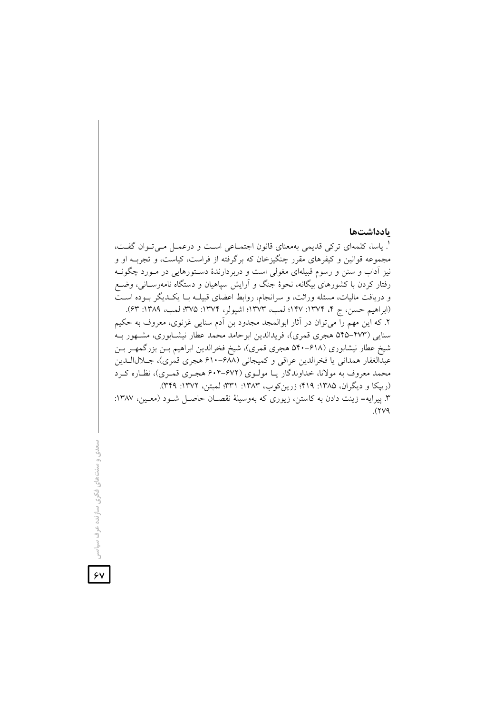#### بادداشتها

'. ياسا، كلمهاي تركي قديمي بهمعناي قانون اجتمــاعي اســت و درعمــل مــيتــوان گفــت، مجموعه قوانین و کیفرهای مقرر چنگیزخان که برگرفته از فراست، کیاست، و تجربــه او و نیز اَداب و سنن و رسوم قبیلهای مغولی است و دربردارندهٔ دســتورهایی در مــورد چگونــه رفتار کردن با کشورهای بیگانه، نحوهٔ جنگ و آرایش سپاهیان و دستگاه نامهرسـانی، وضـع و دریافت مالیات، مسئله وراثت، و سرانجام، روابط اعضای قبیلــه بــا یکــدیگر بــوده اســت (ابراهيم حسن، ج ۴، ١٣٧۴: ١۴٧؛ لمب، ١٣٧٣؛ اشيولر، ١٣٧٤: ٣٧۵؛ لمب، ١٣٨٩: ۶٣). ۲. که این مهم را میتوان در آثار ابوالمجد مجدود بن اَدم سنایی غزنوی، معروف به حکیم سنایی (۴۷۳–۵۴۵ هجری قمری)، فریدالدین ابوحامد محمد عطار نیشـابوری، مشـهور بـه شیخ عطار نیشابوری (۶۱۸–۵۴۰ هجری قمری)، شیخ فخرالدین ابراهیم بـن بزرگمهـر بـن عبدالغفار همداني يا فخرالدين عراقي و كميجاني (۶۸۸-۶۱۰ هجري قمري)، جــلال1لــدين محمد معروف به مولانا، خداوندگار يـا مولـوي (۶۷۲-۶۰۴ هجـري قمـري)، نظـاره كـرد (رییکا و دیگران، ۱۳۸۵: ۴۱۹؛ زرین کوب، ۱۳۸۳: ۳۳۱؛ لمبتن، ۱۳۷۲: ۳۴۹). ۳. پیرایه= زینت دادن به کاستن، زیوری که بهوسیلهٔ نقصـان حاصـل شـود (معـین، ۱۳۸۷:  $(\forall \vee \varphi)$ 

سعدی و سنتھای فکری سازنده عر

 $\overline{\mathsf{y}}$